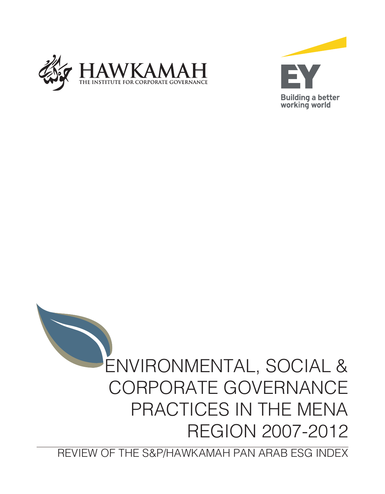





REVIEW OF THE S&P/HAWKAMAH PAN ARAB ESG INDEX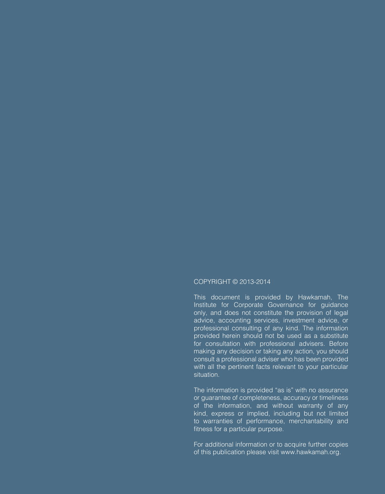#### COPYRIGHT © 2013-2014

This document is provided by Hawkamah, The Institute for Corporate Governance for guidance only, and does not constitute the provision of legal advice, accounting services, investment advice, or professional consulting of any kind. The information provided herein should not be used as a substitute for consultation with professional advisers. Before making any decision or taking any action, you should consult a professional adviser who has been provided with all the pertinent facts relevant to your particular situation.

The information is provided "as is" with no assurance or guarantee of completeness, accuracy or timeliness of the information, and without warranty of any kind, express or implied, including but not limited to warranties of performance, merchantability and fitness for a particular purpose.

For additional information or to acquire further copies of this publication please visit www.hawkamah.org.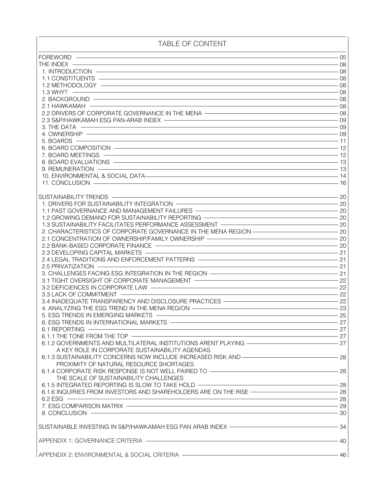# TABLE OF CONTENT

| <b>FOREWORD</b>                                                                                                                                                                                                                                   | 05                                                                                               |
|---------------------------------------------------------------------------------------------------------------------------------------------------------------------------------------------------------------------------------------------------|--------------------------------------------------------------------------------------------------|
| <u> 1989 - Johann Barn, mars ann an t-Amhain an t-Amhain an t-Amhain an t-Amhain an t-Amhain an t-Amhain an t-Amh</u><br>THE INDEX -                                                                                                              | 08                                                                                               |
| 1. INTRODUCTION – 08                                                                                                                                                                                                                              |                                                                                                  |
| 1.1 CONSTITUENTS<br>1.1 CONSTITUENTS                                                                                                                                                                                                              |                                                                                                  |
|                                                                                                                                                                                                                                                   |                                                                                                  |
| $\sim$ 08<br>1.3 WHY?                                                                                                                                                                                                                             |                                                                                                  |
| $\sim$ 08 $-$ 08                                                                                                                                                                                                                                  |                                                                                                  |
| 2. BACKGROUND -                                                                                                                                                                                                                                   | $\begin{array}{c c} \hline \text{---} & \text{---} \\ \hline \text{08} & \text{---} \end{array}$ |
| 2.1 HAWKAMAH -                                                                                                                                                                                                                                    |                                                                                                  |
| 2.2 DRIVERS OF CORPORATE GOVERNANCE IN THE MENA ————————————————————————————————08                                                                                                                                                                |                                                                                                  |
|                                                                                                                                                                                                                                                   |                                                                                                  |
| 3. THE DATA                                                                                                                                                                                                                                       |                                                                                                  |
| 4. OWNERSHIP -                                                                                                                                                                                                                                    |                                                                                                  |
| مان المستخدمات المستخدمات المستخدمات المستخدمات المستخدمات المستخدمات المستخدمات المستخدمات المستخدمات المستخد<br>11 - المستخدمات المستخدمات المستخدمات المستخدمات المستخدمات المستخدمات المستخدمات المستخدمات المستخدمات المستخ<br>5. BOARDS $-$ |                                                                                                  |
| 6. BOARD COMPOSITION                                                                                                                                                                                                                              |                                                                                                  |
|                                                                                                                                                                                                                                                   |                                                                                                  |
| 8. BOARD EVALUATIONS                                                                                                                                                                                                                              |                                                                                                  |
| <u> 1980 - Johann Barbara, martxa alemaniar argumento este alemaniar alemaniar alemaniar alemaniar alemaniar al</u><br>$9.$ REMUNERATION $-$                                                                                                      | $-13$                                                                                            |
| 10. ENVIRONMENTAL & SOCIAL DATA-                                                                                                                                                                                                                  |                                                                                                  |
|                                                                                                                                                                                                                                                   | - 14                                                                                             |
| 11. CONCLUSION                                                                                                                                                                                                                                    | 16                                                                                               |
| <u> 1980 - Johann Barn, amerikan besteman besteman besteman besteman besteman besteman besteman besteman bestema</u>                                                                                                                              |                                                                                                  |
| SUSTAINABILITY TRENDS                                                                                                                                                                                                                             | 20                                                                                               |
| 1. DRIVERS FOR SUSTAINABILITY INTEGRATION <b>CONSIDERATION</b>                                                                                                                                                                                    |                                                                                                  |
| 1.1 PAST GOVERNANCE AND MANAGEMENT FAILURES <b>SERVING AND A SERVING AND A SERVING AND A SERVING AND A SERVING AND A SERVING ASSESSMENT FAILURES</b>                                                                                              |                                                                                                  |
| 1.2 GROWING DEMAND FOR SUSTAINABILITY REPORTING                                                                                                                                                                                                   |                                                                                                  |
| 1.3 SUSTAINABILITY FACILITATES PERFORMANCE ASSESSMENT ——————————————————————————20                                                                                                                                                                |                                                                                                  |
| 2. CHARACTERISTICS OF CORPORATE GOVERNANCE IN THE MENA REGION ———————————————————                                                                                                                                                                 |                                                                                                  |
| 2.1 CONCENTRATION OF OWNERSHIP/FAMILY OWNERSHIP                                                                                                                                                                                                   |                                                                                                  |
| 2.2 BANK-BASED CORPORATE FINANCE                                                                                                                                                                                                                  |                                                                                                  |
| $\sim$ 21<br>2.3 DEVELOPING CAPITAL MARKETS -                                                                                                                                                                                                     |                                                                                                  |
| 2.4 LEGAL TRADITIONS AND ENFORCEMENT PATTERNS ————————————————————————————21                                                                                                                                                                      |                                                                                                  |
| 21                                                                                                                                                                                                                                                |                                                                                                  |
| 2.5 PRIVATIZATION                                                                                                                                                                                                                                 |                                                                                                  |
|                                                                                                                                                                                                                                                   |                                                                                                  |
| 3.1 TIGHT OVERSIGHT OF CORPORATE MANAGEMENT                                                                                                                                                                                                       |                                                                                                  |
|                                                                                                                                                                                                                                                   |                                                                                                  |
| $\frac{1}{2}$<br>3.3 LACK OF COMMITMENT ————                                                                                                                                                                                                      |                                                                                                  |
| 3.4 INADEQUATE TRANSPARENCY AND DISCLOSURE PRACTICES ——————————————————————————22                                                                                                                                                                 |                                                                                                  |
| 4. ANALYZING THE ESG TREND IN THE MENA REGION - <b>CONSUMING THE SET AND THE SET AND THE SET AND THE SET AND THE SET AND THE SET AND THE SET AND THE SET AND THE SET AND THE SET AND THE SET AND THE SET AND THE SET AND THE SET</b>              |                                                                                                  |
| $\frac{1}{25}$<br>5. ESG TRENDS IN EMERGING MARKETS -                                                                                                                                                                                             |                                                                                                  |
| $\overline{\phantom{a}}$ 27<br>6. ESG TRENDS IN INTERNATIONAL MARKETS -                                                                                                                                                                           |                                                                                                  |
| 6.1 REPORTING -                                                                                                                                                                                                                                   | 27                                                                                               |
| 6.1.1 THE TONE FROM THE TOP -                                                                                                                                                                                                                     | 27                                                                                               |
| 6.1.2 GOVERNMENTS AND MULTILATERAL INSTITUTIONS ARENT PLAYING ——————————————————27                                                                                                                                                                |                                                                                                  |
|                                                                                                                                                                                                                                                   |                                                                                                  |
| A KEY ROLE IN CORPORATE SUSTAINABILITY AGENDAS<br>6.1.3 SUSTAINABILITY CONCERNS NOW INCLUDE INCREASED RISK AND                                                                                                                                    |                                                                                                  |
|                                                                                                                                                                                                                                                   |                                                                                                  |
| PROXIMITY OF NATURAL RESOURCE SHORTAGES                                                                                                                                                                                                           |                                                                                                  |
| 6.1.4 CORPORATE RISK RESPONSE IS NOT WELL PAIRED TO                                                                                                                                                                                               |                                                                                                  |
| THE SCALE OF SUSTAINABILITY CHALLENGES                                                                                                                                                                                                            |                                                                                                  |
| 6.1.5 INTEGRATED REPORTING IS SLOW TO TAKE HOLD                                                                                                                                                                                                   |                                                                                                  |
| 6.1.6 INQUIRIES FROM INVESTORS AND SHAREHOLDERS ARE ON THE RISE                                                                                                                                                                                   |                                                                                                  |
| $6.2$ ESG $\overline{\phantom{a}}$                                                                                                                                                                                                                | $\overline{\phantom{a}}$ 28                                                                      |
|                                                                                                                                                                                                                                                   |                                                                                                  |
| $\frac{1}{2}$<br>8. CONCLUSION -                                                                                                                                                                                                                  |                                                                                                  |
|                                                                                                                                                                                                                                                   |                                                                                                  |
|                                                                                                                                                                                                                                                   | $-34$                                                                                            |
|                                                                                                                                                                                                                                                   |                                                                                                  |
|                                                                                                                                                                                                                                                   |                                                                                                  |
|                                                                                                                                                                                                                                                   | $-40$                                                                                            |
|                                                                                                                                                                                                                                                   |                                                                                                  |
| APPENDIX 2: ENVIRONMENTAL & SOCIAL CRITERIA —————————————————————————46                                                                                                                                                                           |                                                                                                  |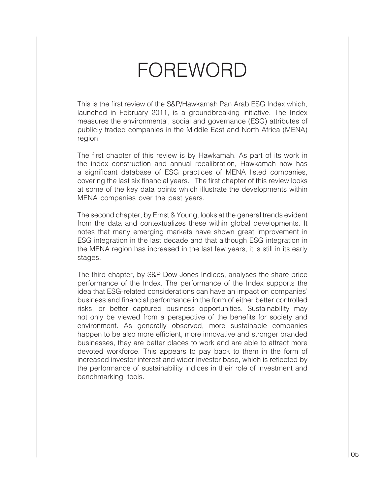# FOREWORD

This is the first review of the S&P/Hawkamah Pan Arab ESG Index which, launched in February 2011, is a groundbreaking initiative. The Index measures the environmental, social and governance (ESG) attributes of publicly traded companies in the Middle East and North Africa (MENA) region.

The first chapter of this review is by Hawkamah. As part of its work in the index construction and annual recalibration, Hawkamah now has a significant database of ESG practices of MENA listed companies, covering the last six financial years. The first chapter of this review looks at some of the key data points which illustrate the developments within MENA companies over the past years.

The second chapter, by Ernst & Young, looks at the general trends evident from the data and contextualizes these within global developments. It notes that many emerging markets have shown great improvement in ESG integration in the last decade and that although ESG integration in the MENA region has increased in the last few years, it is still in its early stages.

The third chapter, by S&P Dow Jones Indices, analyses the share price performance of the Index. The performance of the Index supports the idea that ESG-related considerations can have an impact on companies' business and financial performance in the form of either better controlled risks, or better captured business opportunities. Sustainability may not only be viewed from a perspective of the benefits for society and environment. As generally observed, more sustainable companies happen to be also more efficient, more innovative and stronger branded businesses, they are better places to work and are able to attract more devoted workforce. This appears to pay back to them in the form of increased investor interest and wider investor base, which is reflected by the performance of sustainability indices in their role of investment and benchmarking tools.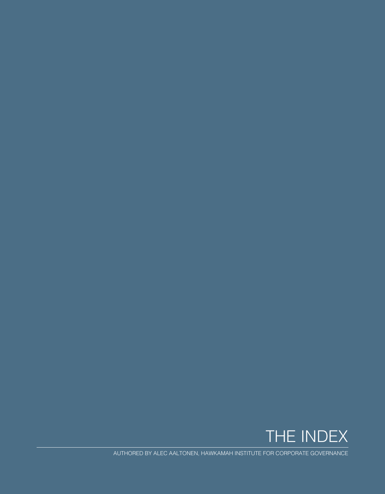

AUTHORED BY ALEC AALTONEN, HAWKAMAH INSTITUTE FOR CORPORATE GOVERNANCE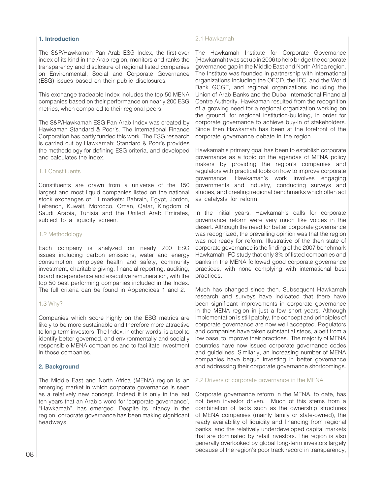# **1. Introduction**

The S&P/Hawkamah Pan Arab ESG Index, the first-ever index of its kind in the Arab region, monitors and ranks the transparency and disclosure of regional listed companies on Environmental, Social and Corporate Governance (ESG) issues based on their public disclosures.

This exchange tradeable Index includes the top 50 MENA companies based on their performance on nearly 200 ESG metrics, when compared to their regional peers.

The S&P/Hawkamah ESG Pan Arab Index was created by Hawkamah Standard & Poor's. The International Finance Corporation has partly funded this work. The ESG research is carried out by Hawkamah; Standard & Poor's provides the methodology for defining ESG criteria, and developed and calculates the index.

# 1.1 Constituents

Constituents are drawn from a universe of the 150 largest and most liquid companies listed on the national stock exchanges of 11 markets: Bahrain, Egypt, Jordon, Lebanon, Kuwait, Morocco, Oman, Qatar, Kingdom of Saudi Arabia, Tunisia and the United Arab Emirates, subject to a liquidity screen.

#### 1.2 Methodology

Each company is analyzed on nearly 200 ESG issues including carbon emissions, water and energy consumption, employee health and safety, community investment, charitable giving, financial reporting, auditing, board independence and executive remuneration, with the top 50 best performing companies included in the Index. The full criteria can be found in Appendices 1 and 2.

#### 1.3 Why?

Companies which score highly on the ESG metrics are likely to be more sustainable and therefore more attractive to long-term investors. The Index, in other words, is a tool to identify better governed, and environmentally and socially responsible MENA companies and to facilitate investment in those companies.

# **2. Background**

The Middle East and North Africa (MENA) region is an emerging market in which corporate governance is seen as a relatively new concept. Indeed it is only in the last ten years that an Arabic word for 'corporate governance', "Hawkamah", has emerged. Despite its infancy in the region, corporate governance has been making significant headways.

#### 2.1 Hawkamah

The Hawkamah Institute for Corporate Governance (Hawkamah) was set up in 2006 to help bridge the corporate governance gap in the Middle East and North Africa region. The Institute was founded in partnership with international organizations including the OECD, the IFC, and the World Bank GCGF, and regional organizations including the Union of Arab Banks and the Dubai International Financial Centre Authority. Hawkamah resulted from the recognition of a growing need for a regional organization working on the ground, for regional institution-building, in order for corporate governance to achieve buy-in of stakeholders. Since then Hawkamah has been at the forefront of the corporate governance debate in the region.

Hawkamah's primary goal has been to establish corporate governance as a topic on the agendas of MENA policy makers by providing the region's companies and regulators with practical tools on how to improve corporate governance. Hawkamah's work involves engaging governments and industry, conducting surveys and studies, and creating regional benchmarks which often act as catalysts for reform.

In the initial years, Hawkamah's calls for corporate governance reform were very much like voices in the desert. Although the need for better corporate governance was recognized, the prevailing opinion was that the region was not ready for reform. Illustrative of the then state of corporate governance is the finding of the 2007 benchmark Hawkamah-IFC study that only 3% of listed companies and banks in the MENA followed good corporate governance practices, with none complying with international best practices.

Much has changed since then. Subsequent Hawkamah research and surveys have indicated that there have been significant improvements in corporate governance in the MENA region in just a few short years. Although implementation is still patchy, the concept and principles of corporate governance are now well accepted. Regulators and companies have taken substantial steps, albeit from a low base, to improve their practices. The majority of MENA countries have now issued corporate governance codes and guidelines. Similarly, an increasing number of MENA companies have begun investing in better governance and addressing their corporate governance shortcomings.

#### 2.2 Drivers of corporate governance in the MENA

Corporate governance reform in the MENA, to date, has not been investor driven. Much of this stems from a combination of facts such as the ownership structures of MENA companies (mainly family or state-owned), the ready availability of liquidity and financing from regional banks, and the relatively underdeveloped capital markets that are dominated by retail investors. The region is also generally overlooked by global long-term investors largely because of the region's poor track record in transparency,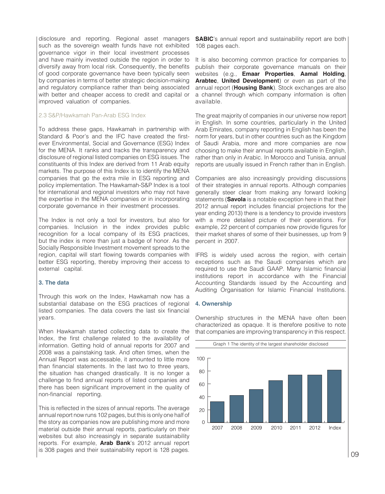disclosure and reporting. Regional asset managers such as the sovereign wealth funds have not exhibited governance vigor in their local investment processes and have mainly invested outside the region in order to diversify away from local risk. Consequently, the benefits of good corporate governance have been typically seen by companies in terms of better strategic decision-making and regulatory compliance rather than being associated with better and cheaper access to credit and capital or improved valuation of companies.

#### 2.3 S&P/Hawkamah Pan-Arab ESG Index

To address these gaps, Hawkamah in partnership with Standard & Poor's and the IFC have created the firstever Environmental, Social and Governance (ESG) Index for the MENA. It ranks and tracks the transparency and disclosure of regional listed companies on ESG issues. The constituents of this Index are derived from 11 Arab equity markets. The purpose of this Index is to identify the MENA companies that go the extra mile in ESG reporting and policy implementation. The Hawkamah-S&P Index is a tool for international and regional investors who may not have the expertise in the MENA companies or in incorporating corporate governance in their investment processes.

The Index is not only a tool for investors, but also for companies. Inclusion in the index provides public recognition for a local company of its ESG practices, but the index is more than just a badge of honor. As the Socially Responsible Investment movement spreads to the region, capital will start flowing towards companies with better ESG reporting, thereby improving their access to external capital.

#### **3. The data**

Through this work on the Index, Hawkamah now has a substantial database on the ESG practices of regional listed companies. The data covers the last six financial years.

When Hawkamah started collecting data to create the Index, the first challenge related to the availability of information. Getting hold of annual reports for 2007 and 2008 was a painstaking task. And often times, when the Annual Report was accessable, it amounted to little more than financial statements. In the last two to three years, the situation has changed drastically. It is no longer a challenge to find annual reports of listed companies and there has been significant improvement in the quality of non-financial reporting.

This is reflected in the sizes of annual reports. The average annual report now runs 102 pages, but this is only one half of the story as companies now are publishing more and more material outside their annual reports, particularly on their websites but also increasingly in separate sustainability reports. For example, **Arab Bank**'s 2012 annual report is 308 pages and their sustainability report is 128 pages.

**SABIC**'s annual report and sustainability report are both 108 pages each.

It is also becoming common practice for companies to publish their corporate governance manuals on their websites (e.g., **Emaar Properties**, **Aamal Holding**, **Arabtec**, **United Development**) or even as part of the annual report (**Housing Bank**). Stock exchanges are also a channel through which company information is often available.

The great majority of companies in our universe now report in English. In some countries, particularly in the United Arab Emirates, company reporting in English has been the norm for years, but in other countries such as the Kingdom of Saudi Arabia, more and more companies are now choosing to make their annual reports available in English, rather than only in Arabic. In Morocco and Tunisia, annual reports are usually issued in French rather than in English.

Companies are also increasingly providing discussions of their strategies in annual reports. Although companies generally steer clear from making any forward looking statements (**Savola** is a notable exception here in that their 2012 annual report includes financial projections for the year ending 2013) there is a tendency to provide investors with a more detailed picture of their operations. For example, 22 percent of companies now provide figures for their market shares of some of their businesses, up from 9 percent in 2007.

IFRS is widely used across the region, with certain exceptions such as the Saudi companies which are required to use the Saudi GAAP. Many Islamic financial institutions report in accordance with the Financial Accounting Standards issued by the Accounting and Auditing Organisation for Islamic Financial Institutions.

#### **4. Ownership**

Ownership structures in the MENA have often been characterized as opaque. It is therefore positive to note that companies are improving transparency in this respect.

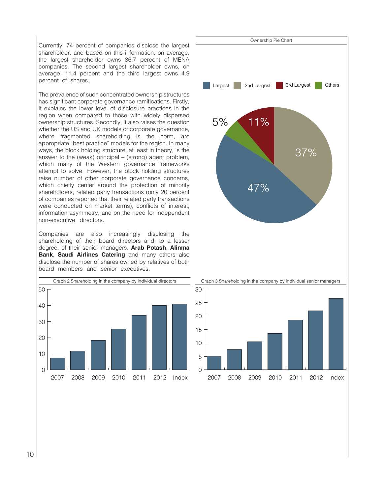Currently, 74 percent of companies disclose the largest shareholder, and based on this information, on average, the largest shareholder owns 36.7 percent of MENA companies. The second largest shareholder owns, on average, 11.4 percent and the third largest owns 4.9 percent of shares.

The prevalence of such concentrated ownership structures has significant corporate governance ramifications. Firstly, it explains the lower level of disclosure practices in the region when compared to those with widely dispersed ownership structures. Secondly, it also raises the question whether the US and UK models of corporate governance, where fragmented shareholding is the norm, are appropriate "best practice" models for the region. In many ways, the block holding structure, at least in theory, is the answer to the (weak) principal – (strong) agent problem, which many of the Western governance frameworks attempt to solve. However, the block holding structures raise number of other corporate governance concerns, which chiefly center around the protection of minority shareholders, related party transactions (only 20 percent of companies reported that their related party transactions were conducted on market terms), conflicts of interest, information asymmetry, and on the need for independent non-executive directors.

Companies are also increasingly disclosing the shareholding of their board directors and, to a lesser degree, of their senior managers. **Arab Potash**, **Alinma Bank**, **Saudi Airlines Catering** and many others also disclose the number of shares owned by relatives of both board members and senior executives.





2007

2008

2009

2010

2011

2012 Index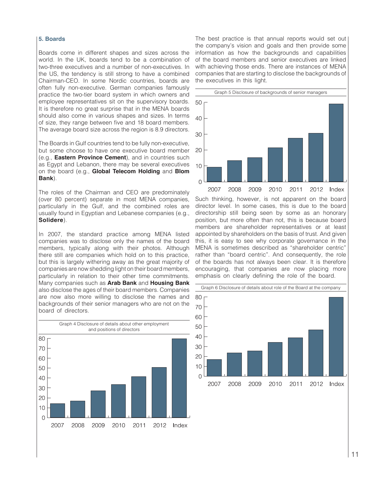#### **5. Boards**

Boards come in different shapes and sizes across the world. In the UK, boards tend to be a combination of two-three executives and a number of non-executives. In the US, the tendency is still strong to have a combined Chairman-CEO. In some Nordic countries, boards are often fully non-executive. German companies famously practice the two-tier board system in which owners and employee representatives sit on the supervisory boards. It is therefore no great surprise that in the MENA boards should also come in various shapes and sizes. In terms of size, they range between five and 18 board members. The average board size across the region is 8.9 directors.

The Boards in Gulf countries tend to be fully non-executive, but some choose to have one executive board member (e.g., **Eastern Province Cement**), and in countries such as Egypt and Lebanon, there may be several executives on the board (e.g., **Global Telecom Holding** and **Blom Bank**).

The roles of the Chairman and CEO are predominately (over 80 percent) separate in most MENA companies, particularly in the Gulf, and the combined roles are usually found in Egyptian and Lebanese companies (e.g., **Solidere**).

In 2007, the standard practice among MENA listed companies was to disclose only the names of the board members, typically along with their photos. Although there still are companies which hold on to this practice, but this is largely withering away as the great majority of companies are now shedding light on their board members, particularly in relation to their other time commitments. Many companies such as **Arab Bank** and **Housing Bank**  also disclose the ages of their board members. Companies are now also more willing to disclose the names and backgrounds of their senior managers who are not on the board of directors.



The best practice is that annual reports would set out the company's vision and goals and then provide some information as how the backgrounds and capabilities of the board members and senior executives are linked with achieving those ends. There are instances of MENA companies that are starting to disclose the backgrounds of the executives in this light.



Such thinking, however, is not apparent on the board director level. In some cases, this is due to the board directorship still being seen by some as an honorary position, but more often than not, this is because board members are shareholder representatives or at least appointed by shareholders on the basis of trust. And given this, it is easy to see why corporate governance in the MENA is sometimes described as "shareholder centric" rather than "board centric". And consequently, the role of the boards has not always been clear. It is therefore encouraging, that companies are now placing more emphasis on clearly defining the role of the board.

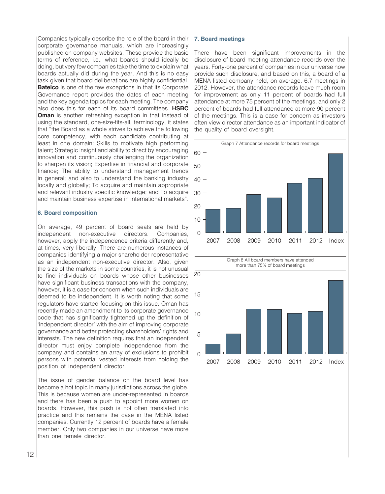Companies typically describe the role of the board in their corporate governance manuals, which are increasingly published on company websites. These provide the basic terms of reference, i.e., what boards should ideally be doing, but very few companies take the time to explain what boards actually did during the year. And this is no easy task given that board deliberations are highly confidential. **Batelco** is one of the few exceptions in that its Corporate Governance report provides the dates of each meeting and the key agenda topics for each meeting. The company also does this for each of its board committees. **HSBC Oman** is another refreshing exception in that instead of using the standard, one-size-fits-all, terminology, it states that "the Board as a whole strives to achieve the following core competency, with each candidate contributing at least in one domain: Skills to motivate high performing talent; Strategic insight and ability to direct by encouraging innovation and continuously challenging the organization to sharpen its vision; Expertise in financial and corporate finance; The ability to understand management trends in general; and also to understand the banking industry locally and globally; To acquire and maintain appropriate and relevant industry specific knowledge; and To acquire and maintain business expertise in international markets".

## **6. Board composition**

On average, 49 percent of board seats are held by independent non-executive directors. Companies, however, apply the independence criteria differently and, at times, very liberally. There are numerous instances of companies identifying a major shareholder representative as an independent non-executive director. Also, given the size of the markets in some countries, it is not unusual to find individuals on boards whose other businesses have significant business transactions with the company, however, it is a case for concern when such individuals are deemed to be independent. It is worth noting that some regulators have started focusing on this issue. Oman has recently made an amendment to its corporate governance code that has significantly tightened up the definition of 'independent director' with the aim of improving corporate governance and better protecting shareholders' rights and interests. The new definition requires that an independent director must enjoy complete independence from the company and contains an array of exclusions to prohibit persons with potential vested interests from holding the position of independent director.

The issue of gender balance on the board level has become a hot topic in many jurisdictions across the globe. This is because women are under-represented in boards and there has been a push to appoint more women on boards. However, this push is not often translated into practice and this remains the case in the MENA listed companies. Currently 12 percent of boards have a female member. Only two companies in our universe have more than one female director.

#### **7. Board meetings**

5

 $\Omega$ 

2007

2008

2009

2010

2011

2012

Index

There have been significant improvements in the disclosure of board meeting attendance records over the years. Forty-one percent of companies in our universe now provide such disclosure, and based on this, a board of a MENA listed company held, on average, 6.7 meetings in 2012. However, the attendance records leave much room for improvement as only 11 percent of boards had full attendance at more 75 percent of the meetings, and only 2 percent of boards had full attendance at more 90 percent of the meetings. This is a case for concern as investors often view director attendance as an important indicator of the quality of board oversight.

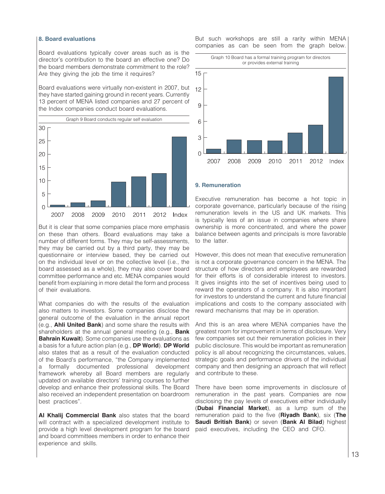#### **8. Board evaluations**

Board evaluations typically cover areas such as is the director's contribution to the board an effective one? Do the board members demonstrate commitment to the role? Are they giving the job the time it requires?

Board evaluations were virtually non-existent in 2007, but they have started gaining ground in recent years. Currently 13 percent of MENA listed companies and 27 percent of the Index companies conduct board evaluations.



But it is clear that some companies place more emphasis on these than others. Board evaluations may take a number of different forms. They may be self-assessments, they may be carried out by a third party, they may be questionnaire or interview based, they be carried out on the individual level or on the collective level (i.e., the board assessed as a whole), they may also cover board committee performance and etc. MENA companies would benefit from explaining in more detail the form and process of their evaluations.

What companies do with the results of the evaluation also matters to investors. Some companies disclose the general outcome of the evaluation in the annual report (e.g., **Ahli United Bank**) and some share the results with shareholders at the annual general meeting (e.g., **Bank Bahrain Kuwait**). Some companies use the evaluations as a basis for a future action plan (e.g., **DP World**). **DP World**  also states that as a result of the evaluation conducted of the Board's performance, "the Company implemented a formally documented professional development framework whereby all Board members are regularly updated on available directors' training courses to further develop and enhance their professional skills. The Board also received an independent presentation on boardroom best practices".

**Al Khalij Commercial Bank** also states that the board will contract with a specialized development institute to provide a high level development program for the board and board committees members in order to enhance their experience and skills.

But such workshops are still a rarity within MENA companies as can be seen from the graph below.



#### **9. Remuneration**

Executive remuneration has become a hot topic in corporate governance, particularly because of the rising remuneration levels in the US and UK markets. This is typically less of an issue in companies where share ownership is more concentrated, and where the power balance between agents and principals is more favorable to the latter

However, this does not mean that executive remuneration is not a corporate governance concern in the MENA. The structure of how directors and employees are rewarded for their efforts is of considerable interest to investors. It gives insights into the set of incentives being used to reward the operators of a company. It is also important for investors to understand the current and future financial implications and costs to the company associated with reward mechanisms that may be in operation.

And this is an area where MENA companies have the greatest room for improvement in terms of disclosure. Very few companies set out their remuneration policies in their public disclosure. This would be important as remuneration policy is all about recognizing the circumstances, values, strategic goals and performance drivers of the individual company and then designing an approach that will reflect and contribute to these.

There have been some improvements in disclosure of remuneration in the past years. Companies are now disclosing the pay levels of executives either individually (**Dubai Financial Market**), as a lump sum of the remuneration paid to the five (**Riyadh Bank**), six (**The Saudi British Bank**) or seven (**Bank Al Bilad**) highest paid executives, including the CEO and CFO.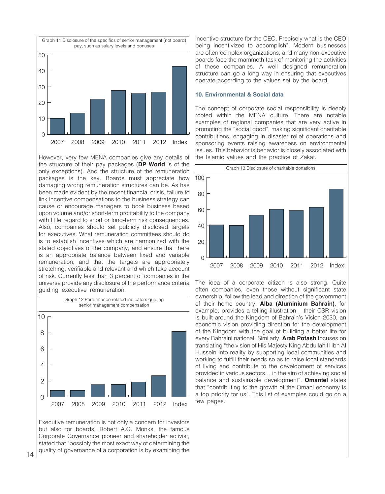

However, very few MENA companies give any details of the structure of their pay packages (**DP World** is of the only exceptions). And the structure of the remuneration packages is the key. Boards must appreciate how damaging wrong remuneration structures can be. As has been made evident by the recent financial crisis, failure to link incentive compensations to the business strategy can cause or encourage managers to book business based upon volume and/or short-term profitability to the company with little regard to short or long-term risk consequences. Also, companies should set publicly disclosed targets for executives. What remuneration committees should do is to establish incentives which are harmonized with the stated objectives of the company, and ensure that there is an appropriate balance between fixed and variable remuneration, and that the targets are appropriately stretching, verifiable and relevant and which take account of risk. Currently less than 3 percent of companies in the universe provide any disclosure of the performance criteria guiding executive remuneration.



Executive remuneration is not only a concern for investors but also for boards. Robert A.G. Monks, the famous Corporate Governance pioneer and shareholder activist, stated that "possibly the most exact way of determining the quality of governance of a corporation is by examining the incentive structure for the CEO. Precisely what is the CEO being incentivized to accomplish". Modern businesses are often complex organizations, and many non-executive boards face the mammoth task of monitoring the activities of these companies. A well designed remuneration structure can go a long way in ensuring that executives operate according to the values set by the board.

#### **10. Environmental & Social data**

The concept of corporate social responsibility is deeply rooted within the MENA culture. There are notable examples of regional companies that are very active in promoting the "social good", making significant charitable contributions, engaging in disaster relief operations and sponsoring events raising awareness on environmental issues. This behavior is behavior is closely associated with the Islamic values and the practice of Zakat.



The idea of a corporate citizen is also strong. Quite often companies, even those without significant state ownership, follow the lead and direction of the government of their home country. **Alba (Aluminium Bahrain)**, for example, provides a telling illustration – their CSR vision is built around the Kingdom of Bahrain's Vision 2030, an economic vision providing direction for the development of the Kingdom with the goal of building a better life for every Bahraini national. Similarly, **Arab Potash** focuses on translating "the vision of His Majesty King Abdullah II Ibn Al Hussein into reality by supporting local communities and working to fulfill their needs so as to raise local standards of living and contribute to the development of services provided in various sectors… in the aim of achieving social balance and sustainable development". **Omantel** states that "contributing to the growth of the Omani economy is a top priority for us". This list of examples could go on a few pages.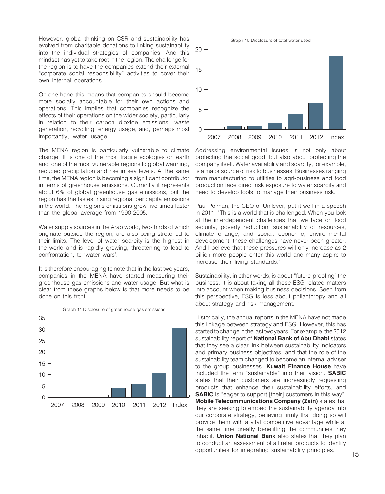However, global thinking on CSR and sustainability has evolved from charitable donations to linking sustainability into the individual strategies of companies. And this mindset has yet to take root in the region. The challenge for the region is to have the companies extend their external "corporate social responsibility" activities to cover their own internal operations.

On one hand this means that companies should become more socially accountable for their own actions and operations. This implies that companies recognize the effects of their operations on the wider society, particularly in relation to their carbon dioxide emissions, waste generation, recycling, energy usage, and, perhaps most importantly, water usage.

The MENA region is particularly vulnerable to climate change. It is one of the most fragile ecologies on earth and one of the most vulnerable regions to global warming, reduced precipitation and rise in sea levels. At the same time, the MENA region is becoming a significant contributor in terms of greenhouse emissions. Currently it represents about 6% of global greenhouse gas emissions, but the region has the fastest rising regional per capita emissions in the world. The region's emissions grew five times faster than the global average from 1990-2005.

Water supply sources in the Arab world, two-thirds of which originate outside the region, are also being stretched to their limits. The level of water scarcity is the highest in the world and is rapidly growing, threatening to lead to confrontation, to 'water wars'.

It is therefore encouraging to note that in the last two years, companies in the MENA have started measuring their greenhouse gas emissions and water usage. But what is clear from these graphs below is that more needs to be done on this front.





Addressing environmental issues is not only about protecting the social good, but also about protecting the company itself. Water availability and scarcity, for example, is a major source of risk to businesses. Businesses ranging from manufacturing to utilities to agri-business and food production face direct risk exposure to water scarcity and need to develop tools to manage their business risk.

Paul Polman, the CEO of Unilever, put it well in a speech in 2011: "This is a world that is challenged. When you look at the interdependent challenges that we face on food security, poverty reduction, sustainability of resources, climate change, and social, economic, environmental development, these challenges have never been greater. And I believe that these pressures will only increase as 2 billion more people enter this world and many aspire to increase their living standards."

Sustainability, in other words, is about "future-proofing" the business. It is about taking all these ESG-related matters into account when making business decisions. Seen from this perspective, ESG is less about philanthropy and all about strategy and risk management.

Historically, the annual reports in the MENA have not made this linkage between strategy and ESG. However, this has started to change in the last two years. For example, the 2012 sustainability report of **National Bank of Abu Dhabi** states that they see a clear link between sustainability indicators and primary business objectives, and that the role of the sustainability team changed to become an internal adviser to the group businesses. **Kuwait Finance House** have included the term "sustainable" into their vision. **SABIC** states that their customers are increasingly requesting products that enhance their sustainability efforts, and **SABIC** is "eager to support [their] customers in this way". **Mobile Telecommunications Company (Zain)** states that they are seeking to embed the sustainability agenda into our corporate strategy, believing firmly that doing so will provide them with a vital competitive advantage while at the same time greatly benefitting the communities they inhabit. **Union National Bank** also states that they plan to conduct an assessment of all retail products to identify opportunities for integrating sustainability principles.  $15$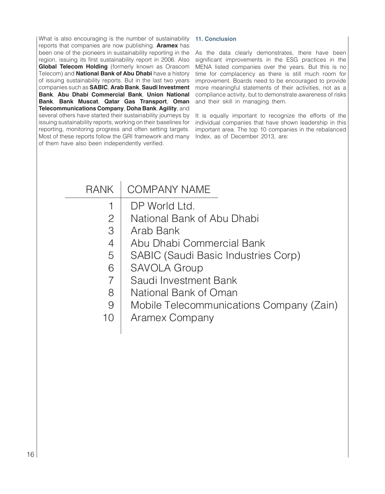What is also encouraging is the number of sustainability reports that companies are now publishing. **Aramex** has been one of the pioneers in sustainability reporting in the region, issuing its first sustainability report in 2006. Also **Global Telecom Holding** (formerly known as Orascom Telecom) and **National Bank of Abu Dhabi** have a history of issuing sustainability reports. But in the last two years companies such as **SABIC**, **Arab Bank**, **Saudi Investment Bank**, **Abu Dhabi Commercial Bank**, **Union National Bank**, **Bank Muscat**, **Qatar Gas Transport**, **Oman Telecommunications Company**, **Doha Bank**, **Agility**, and several others have started their sustainability journeys by issuing sustainability reports, working on their baselines for reporting, monitoring progress and often setting targets. Most of these reports follow the GRI framework and many of them have also been independently verified.

# **11. Conclusion**

As the data clearly demonstrates, there have been significant improvements in the ESG practices in the MENA listed companies over the years. But this is no time for complacency as there is still much room for improvement. Boards need to be encouraged to provide more meaningful statements of their activities, not as a compliance activity, but to demonstrate awareness of risks and their skill in managing them.

It is equally important to recognize the efforts of the individual companies that have shown leadership in this important area. The top 10 companies in the rebalanced Index, as of December 2013, are:

| <b>RANK</b>     | <b>COMPANY NAME</b>                      |
|-----------------|------------------------------------------|
|                 | DP World Ltd.                            |
| $\mathcal{P}$   | National Bank of Abu Dhabi               |
| 3               | Arab Bank                                |
| 4               | Abu Dhabi Commercial Bank                |
| 5               | SABIC (Saudi Basic Industries Corp)      |
| 6               | <b>SAVOLA Group</b>                      |
|                 | Saudi Investment Bank                    |
| 8               | National Bank of Oman                    |
| 9               | Mobile Telecommunications Company (Zain) |
| 10 <sup>°</sup> | Aramex Company                           |
|                 |                                          |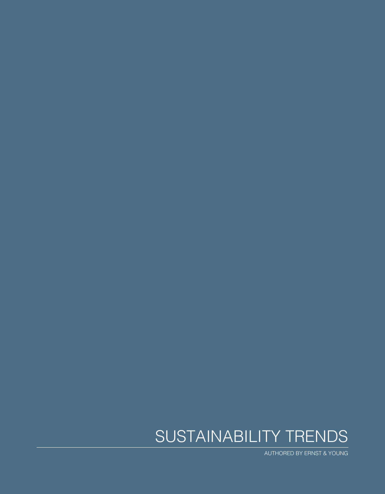# SUSTAINABILITY TRENDS

AUTHORED BY ERNST & YOUNG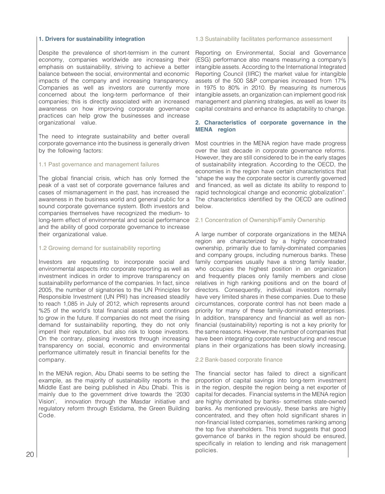#### **1. Drivers for sustainability integration**

Despite the prevalence of short-termism in the current economy, companies worldwide are increasing their emphasis on sustainability, striving to achieve a better balance between the social, environmental and economic impacts of the company and increasing transparency. Companies as well as investors are currently more concerned about the long-term performance of their companies; this is directly associated with an increased awareness on how improving corporate governance practices can help grow the businesses and increase organizational value.

The need to integrate sustainability and better overall corporate governance into the business is generally driven by the following factors:

#### 1.1 Past governance and management failures

The global financial crisis, which has only formed the peak of a vast set of corporate governance failures and cases of mismanagement in the past, has increased the awareness in the business world and general public for a sound corporate governance system. Both investors and companies themselves have recognized the medium- to long-term effect of environmental and social performance and the ability of good corporate governance to increase their organizational value.

#### 1.2 Growing demand for sustainability reporting

Investors are requesting to incorporate social and environmental aspects into corporate reporting as well as investment indices in order to improve transparency on sustainability performance of the companies. In fact, since 2005, the number of signatories to the UN Principles for Responsible Investment (UN PRI) has increased steadily to reach 1,085 in July of 2012, which represents around %25 of the world's total financial assets and continues to grow in the future. If companies do not meet the rising demand for sustainability reporting, they do not only imperil their reputation, but also risk to loose investors. On the contrary, pleasing investors through increasing transparency on social, economic and environmental performance ultimately result in financial benefits for the company.

In the MENA region, Abu Dhabi seems to be setting the example, as the majority of sustainability reports in the Middle East are being published in Abu Dhabi. This is mainly due to the government drive towards the '2030 Vision', innovation through the Masdar initiative and regulatory reform through Estidama, the Green Building Code.

#### 1.3 Sustainability facilitates performance assessment

Reporting on Environmental, Social and Governance (ESG) performance also means measuring a company's intangible assets. According to the International Integrated Reporting Council (IIRC) the market value for intangible assets of the 500 S&P companies increased from 17% in 1975 to 80% in 2010. By measuring its numerous intangible assets, an organization can implement good risk management and planning strategies, as well as lower its capital constrains and enhance its adaptability to change.

## **2. Characteristics of corporate governance in the MENA region**

Most countries in the MENA region have made progress over the last decade in corporate governance reforms. However, they are still considered to be in the early stages of sustainability integration. According to the OECD, the economies in the region have certain characteristics that "shape the way the corporate sector is currently governed and financed, as well as dictate its ability to respond to rapid technological change and economic globalization". The characteristics identified by the OECD are outlined below.

#### 2.1 Concentration of Ownership/Family Ownership

A large number of corporate organizations in the MENA region are characterized by a highly concentrated ownership, primarily due to family-dominated companies and company groups, including numerous banks. These family companies usually have a strong family leader, who occupies the highest position in an organization and frequently places only family members and close relatives in high ranking positions and on the board of directors. Consequently, individual investors normally have very limited shares in these companies. Due to these circumstances, corporate control has not been made a priority for many of these family-dominated enterprises. In addition, transparency and financial as well as nonfinancial (sustainability) reporting is not a key priority for the same reasons. However, the number of companies that have been integrating corporate restructuring and rescue plans in their organizations has been slowly increasing.

#### 2.2 Bank-based corporate finance

The financial sector has failed to direct a significant proportion of capital savings into long-term investment in the region, despite the region being a net exporter of capital for decades. Financial systems in the MENA region are highly dominated by banks- sometimes state-owned banks. As mentioned previously, these banks are highly concentrated, and they often hold significant shares in non-financial listed companies, sometimes ranking among the top five shareholders. This trend suggests that good governance of banks in the region should be ensured, specifically in relation to lending and risk management  $20$  policies.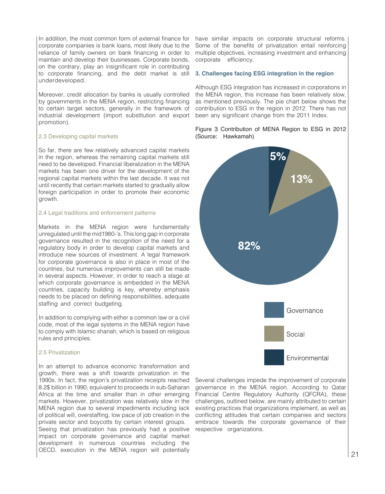In addition, the most common form of external finance for corporate companies is bank loans, most likely due to the reliance of family owners on bank financing in order to maintain and develop their businesses. Corporate bonds, on the contrary, play an insignificant role in contributing to corporate financing, and the debt market is still underdeveloped.

Moreover, credit allocation by banks is usually controlled by governments in the MENA region, restricting financing to certain target sectors, generally in the framework of industrial development (import substitution and export promotion).

#### 2.3 Developing capital markets

So far, there are few relatively advanced capital markets in the region, whereas the remaining capital markets still need to be developed. Financial liberalization in the MENA markets has been one driver for the development of the regional capital markets within the last decade. It was not until recently that certain markets started to gradually allow foreign participation in order to promote their economic growth.

# 2.4 Legal traditions and enforcement patterns

Markets in the MENA region were fundamentally unregulated until the mid1980-'s. This long gap in corporate governance resulted in the recognition of the need for a regulatory body in order to develop capital markets and introduce new sources of investment. A legal framework for corporate governance is also in place in most of the countries, but numerous improvements can still be made in several aspects. However, in order to reach a stage at which corporate governance is embedded in the MENA countries, capacity building is key, whereby emphasis needs to be placed on defining responsibilities, adequate staffing and correct budgeting.

In addition to complying with either a common law or a civil code, most of the legal systems in the MENA region have to comply with Islamic shariah, which is based on religious rules and principles.

#### 2.5 Privatization

In an attempt to advance economic transformation and growth, there was a shift towards privatization in the 1990s. In fact, the region's privatization receipts reached 8.2\$ billion in 1990, equivalent to proceeds in sub-Saharan Africa at the time and smaller than in other emerging markets. However, privatization was relatively slow in the MENA region due to several impediments including lack of political will, overstaffing, low pace of job creation in the private sector and boycotts by certain interest groups. Seeing that privatization has previously had a positive impact on corporate governance and capital market development in numerous countries including the OECD, execution in the MENA region will potentially

have similar impacts on corporate structural reforms. Some of the benefits of privatization entail reinforcing multiple objectives, increasing investment and enhancing corporate efficiency.

#### **3. Challenges facing ESG integration in the region**

Although ESG integration has increased in corporations in the MENA region, this increase has been relatively slow, as mentioned previously. The pie chart below shows the contribution to ESG in the region in 2012. There has not been any significant change from the 2011 Index.

## Figure 3 Contribution of MENA Region to ESG in 2012 (Source: Hawkamah)



Several challenges impede the improvement of corporate governance in the MENA region. According to Qatar Financial Centre Regulatory Authority (QFCRA), these challenges, outlined below, are mainly attributed to certain existing practices that organizations implement, as well as conflicting attitudes that certain companies and sectors embrace towards the corporate governance of their respective organizations.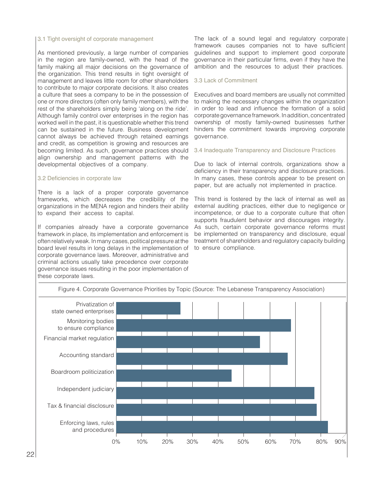## 3.1 Tight oversight of corporate management

As mentioned previously, a large number of companies in the region are family-owned, with the head of the family making all major decisions on the governance of the organization. This trend results in tight oversight of management and leaves little room for other shareholders to contribute to major corporate decisions. It also creates a culture that sees a company to be in the possession of one or more directors (often only family members), with the rest of the shareholders simply being 'along on the ride'. Although family control over enterprises in the region has worked well in the past, it is questionable whether this trend can be sustained in the future. Business development cannot always be achieved through retained earnings and credit, as competition is growing and resources are becoming limited. As such, governance practices should align ownership and management patterns with the developmental objectives of a company.

#### 3.2 Deficiencies in corporate law

There is a lack of a proper corporate governance frameworks, which decreases the credibility of the organizations in the MENA region and hinders their ability to expand their access to capital.

If companies already have a corporate governance framework in place, its implementation and enforcement is often relatively weak. In many cases, political pressure at the board level results in long delays in the implementation of corporate governance laws. Moreover, administrative and criminal actions usually take precedence over corporate governance issues resulting in the poor implementation of these corporate laws.

The lack of a sound legal and regulatory corporate framework causes companies not to have sufficient guidelines and support to implement good corporate governance in their particular firms, even if they have the ambition and the resources to adjust their practices.

#### 3.3 Lack of Commitment

Executives and board members are usually not committed to making the necessary changes within the organization in order to lead and influence the formation of a solid corporate governance framework. In addition, concentrated ownership of mostly family-owned businesses further hinders the commitment towards improving corporate governance.

#### 3.4 Inadequate Transparency and Disclosure Practices

Due to lack of internal controls, organizations show a deficiency in their transparency and disclosure practices. In many cases, these controls appear to be present on paper, but are actually not implemented in practice.

This trend is fostered by the lack of internal as well as external auditing practices, either due to negligence or incompetence, or due to a corporate culture that often supports fraudulent behavior and discourages integrity. As such, certain corporate governance reforms must be implemented on transparency and disclosure, equal treatment of shareholders and regulatory capacity building to ensure compliance.

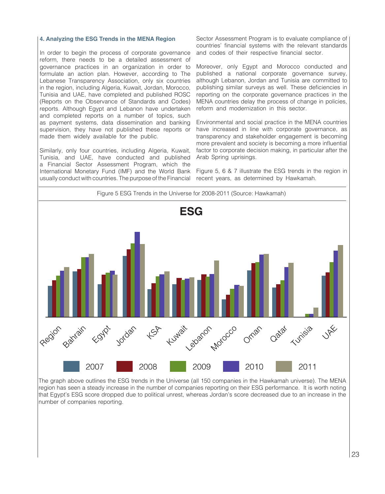#### **4. Analyzing the ESG Trends in the MENA Region**

In order to begin the process of corporate governance reform, there needs to be a detailed assessment of governance practices in an organization in order to formulate an action plan. However, according to The Lebanese Transparency Association, only six countries in the region, including Algeria, Kuwait, Jordan, Morocco, Tunisia and UAE, have completed and published ROSC (Reports on the Observance of Standards and Codes) reports. Although Egypt and Lebanon have undertaken and completed reports on a number of topics, such as payment systems, data dissemination and banking supervision, they have not published these reports or made them widely available for the public.

Similarly, only four countries, including Algeria, Kuwait, Tunisia, and UAE, have conducted and published a Financial Sector Assessment Program, which the International Monetary Fund (IMF) and the World Bank usually conduct with countries. The purpose of the Financial

Sector Assessment Program is to evaluate compliance of countries' financial systems with the relevant standards and codes of their respective financial sector.

Moreover, only Egypt and Morocco conducted and published a national corporate governance survey, although Lebanon, Jordan and Tunisia are committed to publishing similar surveys as well. These deficiencies in reporting on the corporate governance practices in the MENA countries delay the process of change in policies, reform and modernization in this sector.

Environmental and social practice in the MENA countries have increased in line with corporate governance, as transparency and stakeholder engagement is becoming more prevalent and society is becoming a more influential factor to corporate decision making, in particular after the Arab Spring uprisings.

Figure 5, 6 & 7 illustrate the ESG trends in the region in recent years, as determined by Hawkamah.



The graph above outlines the ESG trends in the Universe (all 150 companies in the Hawkamah universe). The MENA region has seen a steady increase in the number of companies reporting on their ESG performance. It is worth noting that Egypt's ESG score dropped due to political unrest, whereas Jordan's score decreased due to an increase in the number of companies reporting.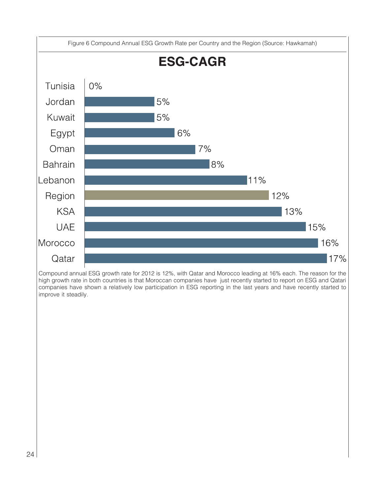

Compound annual ESG growth rate for 2012 is 12%, with Qatar and Morocco leading at 16% each. The reason for the high growth rate in both countries is that Moroccan companies have just recently started to report on ESG and Qatari companies have shown a relatively low participation in ESG reporting in the last years and have recently started to improve it steadily.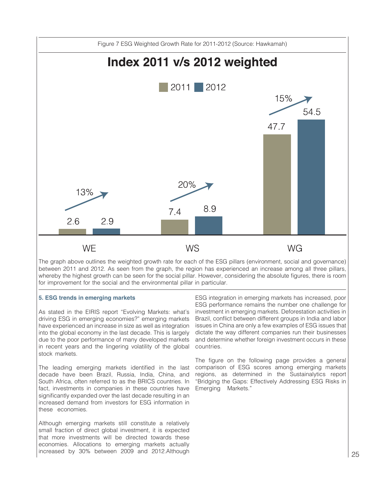

The graph above outlines the weighted growth rate for each of the ESG pillars (environment, social and governance) between 2011 and 2012. As seen from the graph, the region has experienced an increase among all three pillars, whereby the highest growth can be seen for the social pillar. However, considering the absolute figures, there is room for improvement for the social and the environmental pillar in particular.

#### **5. ESG trends in emerging markets**

As stated in the EIRIS report "Evolving Markets: what's driving ESG in emerging economies?" emerging markets have experienced an increase in size as well as integration into the global economy in the last decade. This is largely due to the poor performance of many developed markets in recent years and the lingering volatility of the global stock markets.

The leading emerging markets identified in the last decade have been Brazil, Russia, India, China, and South Africa, often referred to as the BRICS countries. In fact, investments in companies in these countries have significantly expanded over the last decade resulting in an increased demand from investors for ESG information in these economies.

Although emerging markets still constitute a relatively small fraction of direct global investment, it is expected that more investments will be directed towards these economies. Allocations to emerging markets actually increased by 30% between 2009 and 2012.Although

ESG integration in emerging markets has increased, poor ESG performance remains the number one challenge for investment in emerging markets. Deforestation activities in Brazil, conflict between different groups in India and labor issues in China are only a few examples of ESG issues that dictate the way different companies run their businesses and determine whether foreign investment occurs in these countries.

The figure on the following page provides a general comparison of ESG scores among emerging markets regions, as determined in the Sustainalytics report "Bridging the Gaps: Effectively Addressing ESG Risks in Emerging Markets."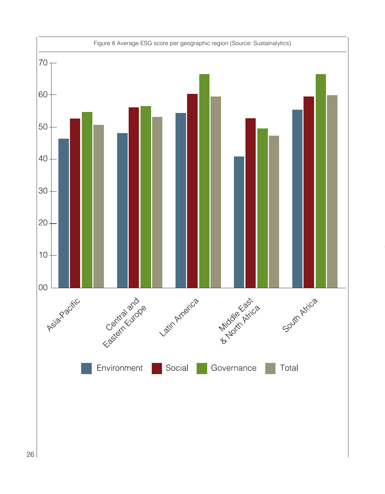![](_page_27_Figure_0.jpeg)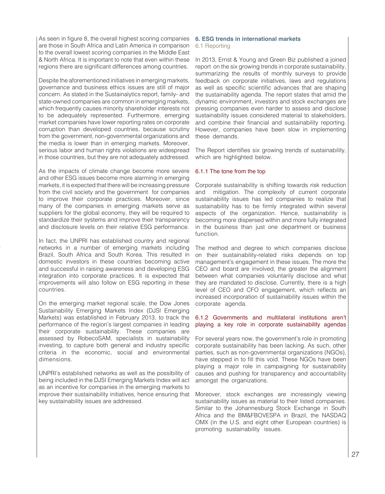As seen in figure 8, the overall highest scoring companies are those in South Africa and Latin America in comparison to the overall lowest scoring companies in the Middle East & North Africa. It is important to note that even within these regions there are significant differences among countries.

Despite the aforementioned initiatives in emerging markets, governance and business ethics issues are still of major concern. As stated in the Sustainalytics report, family- and state-owned companies are common in emerging markets, which frequently causes minority shareholder interests not to be adequately represented. Furthermore, emerging market companies have lower reporting rates on corporate corruption than developed countries, because scrutiny from the government, non-governmental organizations and the media is lower than in emerging markets. Moreover, serious labor and human rights violations are widespread in those countries, but they are not adequately addressed.

As the impacts of climate change become more severe and other ESG issues become more alarming in emerging markets, it is expected that there will be increasing pressure from the civil society and the government for companies to improve their corporate practices. Moreover, since many of the companies in emerging markets serve as suppliers for the global economy, they will be required to standardize their systems and improve their transparency and disclosure levels on their relative ESG performance.

In fact, the UNPRI has established country and regional networks in a number of emerging markets including Brazil, South Africa and South Korea. This resulted in domestic investors in these countries becoming active and successful in raising awareness and developing ESG integration into corporate practices. It is expected that improvements will also follow on ESG reporting in these countries.

On the emerging market regional scale, the Dow Jones Sustainability Emerging Markets Index (DJSI Emerging Markets) was established in February 2013, to track the performance of the region's largest companies in leading their corporate sustainability. These companies are assessed by RobecoSAM, specialists in sustainability investing, to capture both general and industry specific criteria in the economic, social and environmental dimensions.

UNPRI's established networks as well as the possibility of being included in the DJSI Emerging Markets Index will act as an incentive for companies in the emerging markets to improve their sustainability initiatives, hence ensuring that key sustainability issues are addressed.

# **6. ESG trends in international markets**

#### 6.1 Reporting

In 2013, Ernst & Young and Green Biz published a joined report on the six growing trends in corporate sustainability, summarizing the results of monthly surveys to provide feedback on corporate initiatives, laws and regulations as well as specific scientific advances that are shaping the sustainability agenda. The report states that amid the dynamic environment, investors and stock exchanges are pressing companies even harder to assess and disclose sustainability issues considered material to stakeholders, and combine their financial and sustainability reporting. However, companies have been slow in implementing these demands.

The Report identifies six growing trends of sustainability, which are highlighted below.

#### 6.1.1 The tone from the top

Corporate sustainability is shifting towards risk reduction and mitigation. The complexity of current corporate sustainability issues has led companies to realize that sustainability has to be firmly integrated within several aspects of the organization. Hence, sustainability is becoming more dispersed within and more fully integrated in the business than just one department or business function.

The method and degree to which companies disclose on their sustainability-related risks depends on top management's engagement in these issues. The more the CEO and board are involved, the greater the alignment between what companies voluntarily disclose and what they are mandated to disclose. Currently, there is a high level of CEO and CFO engagement, which reflects an increased incorporation of sustainability issues within the corporate agenda.

## 6.1.2 Governments and multilateral institutions aren't playing a key role in corporate sustainability agendas

For several years now, the government's role in promoting corporate sustainability has been lacking. As such, other parties, such as non-governmental organizations (NGOs), have stepped in to fill this void. These NGOs have been playing a major role in campaigning for sustainability causes and pushing for transparency and accountability amongst the organizations.

Moreover, stock exchanges are increasingly viewing sustainability issues as material to their listed companies. Similar to the Johannesburg Stock Exchange in South Africa and the BM&FBOVESPA in Brazil, the NASDAQ OMX (in the U.S. and eight other European countries) is promoting sustainability issues.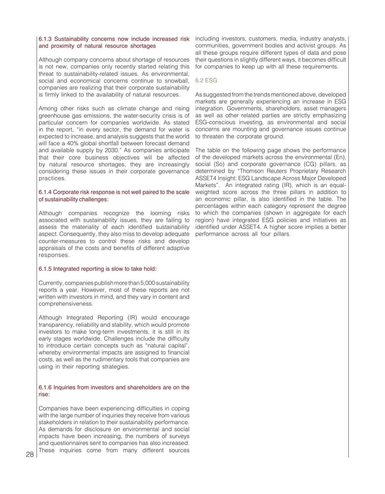#### 6.1.3 Sustainability concerns now include increased risk and proximity of natural resource shortages

Although company concerns about shortage of resources is not new, companies only recently started relating this threat to sustainability-related issues. As environmental, social and economical concerns continue to snowball, companies are realizing that their corporate sustainability is firmly linked to the availability of natural resources.

Among other risks such as climate change and rising greenhouse gas emissions, the water-security crisis is of particular concern for companies worldwide. As stated in the report, "in every sector, the demand for water is expected to increase, and analysis suggests that the world will face a 40% global shortfall between forecast demand and available supply by 2030." As companies anticipate that their core business objectives will be affected by natural resource shortages, they are increasingly considering these issues in their corporate governance practices.

#### 6.1.4 Corporate risk response is not well paired to the scale of sustainability challenges:

Although companies recognize the looming risks associated with sustainability issues, they are failing to assess the materiality of each identified sustainability aspect. Consequently, they also miss to develop adequate counter-measures to control these risks and develop appraisals of the costs and benefits of different adaptive responses.

#### 6.1.5 Integrated reporting is slow to take hold:

Currently, companies publish more than 5,000 sustainability reports a year. However, most of these reports are not written with investors in mind, and they vary in content and comprehensiveness.

Although Integrated Reporting (IR) would encourage transparency, reliability and stability, which would promote investors to make long-term investments, it is still in its early stages worldwide. Challenges include the difficulty to introduce certain concepts such as "natural capital", whereby environmental impacts are assigned to financial costs, as well as the rudimentary tools that companies are using in their reporting strategies.

#### 6.1.6 Inquiries from investors and shareholders are on the rise:

Companies have been experiencing difficulties in coping with the large number of inquiries they receive from various stakeholders in relation to their sustainability performance. As demands for disclosure on environmental and social impacts have been increasing, the numbers of surveys and questionnaires sent to companies has also increased. These inquiries come from many different sources

including investors, customers, media, industry analysts, communities, government bodies and activist groups. As all these groups require different types of data and pose their questions in slightly different ways, it becomes difficult for companies to keep up with all these requirements.

#### 6.2 ESG

As suggested from the trends mentioned above, developed markets are generally experiencing an increase in ESG integration. Governments, shareholders, asset managers as well as other related parties are strictly emphasizing ESG-conscious investing, as environmental and social concerns are mounting and governance issues continue to threaten the corporate ground.

The table on the following page shows the performance of the developed markets across the environmental (En), social (So) and corporate governance (CG) pillars, as determined by "Thomson Reuters Proprietary Research ASSET4 Insight: ESG Landscape Across Major Developed Markets". An integrated rating (IR), which is an equalweighted score across the three pillars in addition to an economic pillar, is also identified in the table. The percentages within each category represent the degree to which the companies (shown in aggregate for each region) have integrated ESG policies and initiatives as identified under ASSET4. A higher score implies a better performance across all four pillars.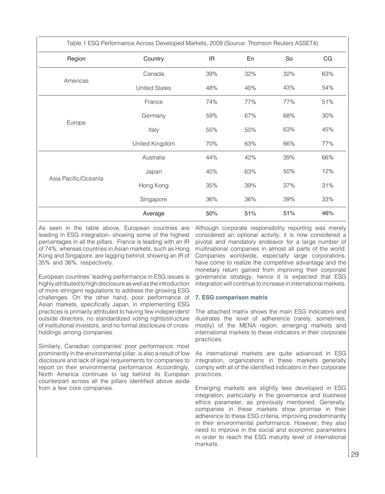| Table 1 ESG Performance Across Developed Markets, 2009 (Source: Thomson Reuters ASSET4) |                      |     |     |     |     |
|-----------------------------------------------------------------------------------------|----------------------|-----|-----|-----|-----|
| Region                                                                                  | Country              | IR  | En  | So  | CG  |
| Americas                                                                                | Canada               | 39% | 32% | 32% | 63% |
|                                                                                         | <b>United States</b> | 48% | 40% | 43% | 54% |
| Europe                                                                                  | France               | 74% | 77% | 77% | 51% |
|                                                                                         | Germany              | 59% | 67% | 68% | 30% |
|                                                                                         | Italy                | 55% | 50% | 63% | 45% |
|                                                                                         | United Kingdom       | 70% | 63% | 66% | 77% |
| Asia Pacific/Oceania                                                                    | Australia            | 44% | 42% | 39% | 66% |
|                                                                                         | Japan                | 40% | 63% | 50% | 12% |
|                                                                                         | Hong Kong            | 35% | 39% | 37% | 31% |
|                                                                                         | Singapore            | 36% | 36% | 39% | 33% |
|                                                                                         | Average              | 50% | 51% | 51% | 46% |

As seen in the table above, European countries are leading in ESG integration- showing some of the highest percentages in all the pillars. France is leading with an IR of 74%, whereas countries in Asian markets, such as Hong Kong and Singapore, are lagging behind, showing an IR of 35% and 36%, respectively.

European countries' leading performance in ESG issues is highly attributed to high disclosure as well as the introduction of more stringent regulations to address the growing ESG challenges. On the other hand, poor performance of Asian markets, specifically Japan, in implementing ESG practices is primarily attributed to having few independent/ outside directors, no standardized voting rights/structure of institutional investors, and no formal disclosure of crossholdings among companies.

Similarly, Canadian companies' poor performance, most prominently in the environmental pillar, is also a result of low disclosure and lack of legal requirements for companies to report on their environmental performance. Accordingly, North America continues to lag behind its European counterpart across all the pillars identified above aside from a few core companies.

Although corporate responsibility reporting was merely considered an optional activity, it is now considered a pivotal and mandatory endeavor for a large number of multinational companies in almost all parts of the world. Companies worldwide, especially large corporations, have come to realize the competitive advantage and the monetary return gained from improving their corporate governance strategy, hence it is expected that ESG integration will continue to increase in international markets.

#### **7. ESG comparison matrix**

The attached matrix shows the main ESG indicators and illustrates the level of adherence (rarely, sometimes, mostly) of the MENA region, emerging markets and international markets to these indicators in their corporate practices.

As international markets are quite advanced in ESG integration, organizations in these markets generally comply with all of the identified indicators in their corporate practices.

Emerging markets are slightly less developed in ESG integration, particularly in the governance and business ethics parameter, as previously mentioned. Generally, companies in these markets show promise in their adherence to these ESG criteria, improving predominantly in their environmental performance. However, they also need to improve in the social and economic parameters in order to reach the ESG maturity level of international markets.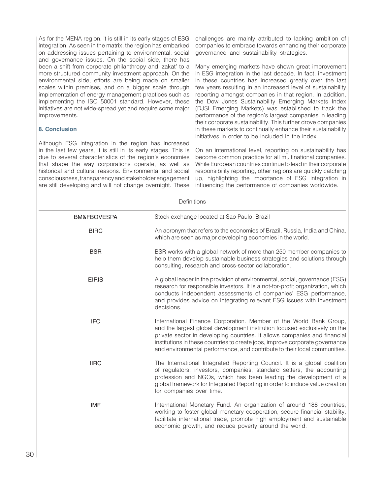As for the MENA region, it is still in its early stages of ESG integration. As seen in the matrix, the region has embarked on addressing issues pertaining to environmental, social and governance issues. On the social side, there has been a shift from corporate philanthropy and 'zakat' to a more structured community investment approach. On the environmental side, efforts are being made on smaller scales within premises, and on a bigger scale through implementation of energy management practices such as implementing the ISO 50001 standard. However, these initiatives are not wide-spread yet and require some major improvements.

# **8. Conclusion**

Although ESG integration in the region has increased in the last few years, it is still in its early stages. This is due to several characteristics of the region's economies that shape the way corporations operate, as well as historical and cultural reasons. Environmental and social consciousness, transparency and stakeholder engagement are still developing and will not change overnight. These

challenges are mainly attributed to lacking ambition of companies to embrace towards enhancing their corporate governance and sustainability strategies.

Many emerging markets have shown great improvement in ESG integration in the last decade. In fact, investment in these countries has increased greatly over the last few years resulting in an increased level of sustainability reporting amongst companies in that region. In addition, the Dow Jones Sustainability Emerging Markets Index (DJSI Emerging Markets) was established to track the performance of the region's largest companies in leading their corporate sustainability. This further drove companies in these markets to continually enhance their sustainability initiatives in order to be included in the index.

On an international level, reporting on sustainability has become common practice for all multinational companies. While European countries continue to lead in their corporate responsibility reporting, other regions are quickly catching up, highlighting the importance of ESG integration in influencing the performance of companies worldwide.

| Definitions            |                                                                                                                                                                                                                                                                                                                                                                                           |  |
|------------------------|-------------------------------------------------------------------------------------------------------------------------------------------------------------------------------------------------------------------------------------------------------------------------------------------------------------------------------------------------------------------------------------------|--|
| <b>BM&amp;FBOVESPA</b> | Stock exchange located at Sao Paulo, Brazil                                                                                                                                                                                                                                                                                                                                               |  |
| <b>BIRC</b>            | An acronym that refers to the economies of Brazil, Russia, India and China,<br>which are seen as major developing economies in the world.                                                                                                                                                                                                                                                 |  |
| <b>BSR</b>             | BSR works with a global network of more than 250 member companies to<br>help them develop sustainable business strategies and solutions through<br>consulting, research and cross-sector collaboration.                                                                                                                                                                                   |  |
| <b>EIRIS</b>           | A global leader in the provision of environmental, social, governance (ESG)<br>research for responsible investors. It is a not-for-profit organization, which<br>conducts independent assessments of companies' ESG performance,<br>and provides advice on integrating relevant ESG issues with investment<br>decisions.                                                                  |  |
| <b>IFC</b>             | International Finance Corporation. Member of the World Bank Group,<br>and the largest global development institution focused exclusively on the<br>private sector in developing countries. It allows companies and financial<br>institutions in these countries to create jobs, improve corporate governance<br>and environmental performance, and contribute to their local communities. |  |
| <b>IIRC</b>            | The International Integrated Reporting Council. It is a global coalition<br>of regulators, investors, companies, standard setters, the accounting<br>profession and NGOs, which has been leading the development of a<br>global framework for Integrated Reporting in order to induce value creation<br>for companies over time.                                                          |  |
| <b>IMF</b>             | International Monetary Fund. An organization of around 188 countries,<br>working to foster global monetary cooperation, secure financial stability,<br>facilitate international trade, promote high employment and sustainable<br>economic growth, and reduce poverty around the world.                                                                                                   |  |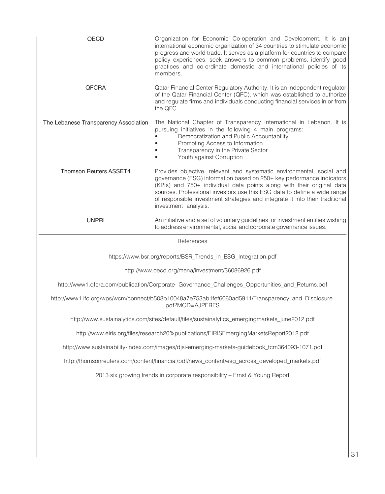| <b>OECD</b>                                                                                     | Organization for Economic Co-operation and Development. It is an<br>international economic organization of 34 countries to stimulate economic<br>progress and world trade. It serves as a platform for countries to compare<br>policy experiences, seek answers to common problems, identify good<br>practices and co-ordinate domestic and international policies of its<br>members.                       |  |
|-------------------------------------------------------------------------------------------------|-------------------------------------------------------------------------------------------------------------------------------------------------------------------------------------------------------------------------------------------------------------------------------------------------------------------------------------------------------------------------------------------------------------|--|
| <b>QFCRA</b>                                                                                    | Qatar Financial Center Regulatory Authority. It is an independent regulator<br>of the Qatar Financial Center (QFC), which was established to authorize<br>and regulate firms and individuals conducting financial services in or from<br>the QFC.                                                                                                                                                           |  |
| The Lebanese Transparency Association                                                           | The National Chapter of Transparency International in Lebanon. It is<br>pursuing initiatives in the following 4 main programs:<br>Democratization and Public Accountability<br>Promoting Access to Information<br>Transparency in the Private Sector<br>Youth against Corruption                                                                                                                            |  |
| <b>Thomson Reuters ASSET4</b>                                                                   | Provides objective, relevant and systematic environmental, social and<br>governance (ESG) information based on 250+ key performance indicators<br>(KPIs) and 750+ individual data points along with their original data<br>sources. Professional investors use this ESG data to define a wide range<br>of responsible investment strategies and integrate it into their traditional<br>investment analysis. |  |
| <b>UNPRI</b>                                                                                    | An initiative and a set of voluntary guidelines for investment entities wishing<br>to address environmental, social and corporate governance issues.                                                                                                                                                                                                                                                        |  |
|                                                                                                 | References                                                                                                                                                                                                                                                                                                                                                                                                  |  |
|                                                                                                 | https://www.bsr.org/reports/BSR_Trends_in_ESG_Integration.pdf                                                                                                                                                                                                                                                                                                                                               |  |
|                                                                                                 | http://www.oecd.org/mena/investment/36086926.pdf                                                                                                                                                                                                                                                                                                                                                            |  |
| http://www1.qfcra.com/publication/Corporate-Governance_Challenges_Opportunities_and_Returns.pdf |                                                                                                                                                                                                                                                                                                                                                                                                             |  |
|                                                                                                 | http://www1.ifc.org/wps/wcm/connect/b508b10048a7e753ab1fef6060ad5911/Transparency_and_Disclosure.<br>pdf?MOD=AJPERES                                                                                                                                                                                                                                                                                        |  |
|                                                                                                 | http://www.sustainalytics.com/sites/default/files/sustainalytics_emergingmarkets_june2012.pdf                                                                                                                                                                                                                                                                                                               |  |
|                                                                                                 | http://www.eiris.org/files/research20%publications/EIRISEmergingMarketsReport2012.pdf                                                                                                                                                                                                                                                                                                                       |  |
|                                                                                                 | http://www.sustainability-index.com/images/djsi-emerging-markets-guidebook_tcm364093-1071.pdf                                                                                                                                                                                                                                                                                                               |  |
|                                                                                                 | http://thomsonreuters.com/content/financial/pdf/news_content/esg_across_developed_markets.pdf                                                                                                                                                                                                                                                                                                               |  |
|                                                                                                 | 2013 six growing trends in corporate responsibility - Ernst & Young Report                                                                                                                                                                                                                                                                                                                                  |  |
|                                                                                                 |                                                                                                                                                                                                                                                                                                                                                                                                             |  |
|                                                                                                 |                                                                                                                                                                                                                                                                                                                                                                                                             |  |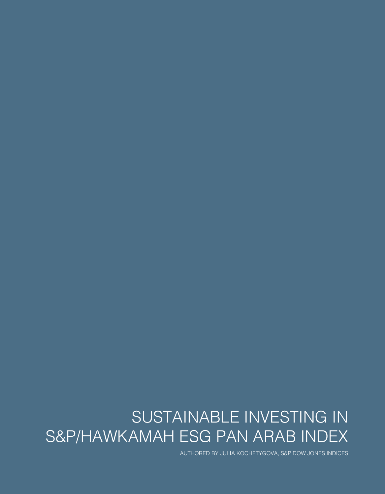# SUSTAINABLE INVESTING IN S&P/HAWKAMAH ESG PAN ARAB INDEX

AUTHORED BY JULIA KOCHETYGOVA, S&P DOW JONES INDICES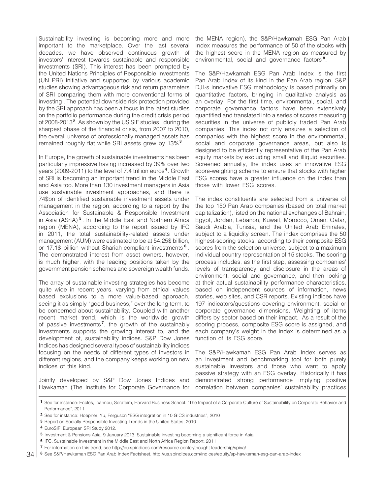Sustainability investing is becoming more and more important to the marketplace. Over the last several decades, we have observed continuous growth of investors' interest towards sustainable and responsible investments (SRI). This interest has been prompted by the United Nations Principles of Responsible Investments (UN PRI) initiative and supported by various academic studies showing advantageous risk and return parameters of SRI comparing them with more conventional forms of investing . The potential downside risk protection provided by the SRI approach has been a focus in the latest studies on the portfolio performance during the credit crisis period of 2008-2013<sup>2</sup>. As shown by the US SIF studies, during the sharpest phase of the financial crisis, from 2007 to 2010, the overall universe of professionally managed assets has remained roughly flat while SRI assets grew by 13%<sup>3</sup>.

In Europe, the growth of sustainable investments has been particularly impressive having increased by 39% over two years (2009-2011) to the level of 7.4 trillion euros<sup>4</sup>. Growth of SRI is becoming an important trend in the Middle East and Asia too. More than 130 investment managers in Asia use sustainable investment approaches, and there is 74\$bn of identified sustainable investment assets under management in the region, according to a report by the Association for Sustainable & Responsible Investment in Asia (ASrIA)<sup>5</sup>. In the Middle East and Northern Africa region (MENA), according to the report issued by IFC in 2011, the total sustainability-related assets under management (AUM) were estimated to be at 54.25\$ billion, or 17.1\$ billion without Shariah-compliant investments <sup>6</sup>. The demonstrated interest from asset owners, however, is much higher, with the leading positions taken by the government pension schemes and sovereign wealth funds.

The array of sustainable investing strategies has become quite wide in recent years, varying from ethical values based exclusions to a more value-based approach, seeing it as simply "good business," over the long term, to be concerned about sustainability. Coupled with another recent market trend, which is the worldwide growth of passive investments<sup>7</sup>, the growth of the sustainably investments supports the growing interest to, and the development of, sustainability indices. S&P Dow Jones Indices has designed several types of sustainability indices focusing on the needs of different types of investors in different regions, and the company keeps working on new indices of this kind.

Jointly developed by S&P Dow Jones Indices and Hawkamah (The Institute for Corporate Governance for

the MENA region), the S&P/Hawkamah ESG Pan Arab Index measures the performance of 50 of the stocks with the highest score in the MENA region as measured by environmental, social and governance factors<sup>8</sup>.

The S&P/Hawkamah ESG Pan Arab Index is the first Pan Arab Index of its kind in the Pan Arab region. S&P DJI›s innovative ESG methodology is based primarily on quantitative factors, bringing in qualitative analysis as an overlay. For the first time, environmental, social, and corporate governance factors have been extensively quantified and translated into a series of scores measuring securities in the universe of publicly traded Pan Arab companies. This index not only ensures a selection of companies with the highest score in the environmental, social and corporate governance areas, but also is designed to be efficiently representative of the Pan Arab equity markets by excluding small and illiquid securities. Screened annually, the index uses an innovative ESG score-weighting scheme to ensure that stocks with higher ESG scores have a greater influence on the index than those with lower ESG scores.

The index constituents are selected from a universe of the top 150 Pan Arab companies (based on total market capitalization), listed on the national exchanges of Bahrain, Egypt, Jordan, Lebanon, Kuwait, Morocco, Oman, Qatar, Saudi Arabia, Tunisia, and the United Arab Emirates, subject to a liquidity screen. The index comprises the 50 highest-scoring stocks, according to their composite ESG scores from the selection universe, subject to a maximum individual country representation of 15 stocks. The scoring process includes, as the first step, assessing companies' levels of transparency and disclosure in the areas of environment, social and governance, and then looking at their actual sustainability performance characteristics, based on independent sources of information, news stories, web sites, and CSR reports. Existing indices have 197 indicators/questions covering environment, social or corporate governance dimensions. Weighting of items differs by sector based on their impact. As a result of the scoring process, composite ESG score is assigned, and each company's weight in the index is determined as a function of its ESG score.

The S&P/Hawkamah ESG Pan Arab Index serves as an investment and benchmarking tool for both purely sustainable investors and those who want to apply passive strategy with an ESG overlay. Historically it has demonstrated strong performance implying positive correlation between companies' sustainability practices

**<sup>2</sup>** See for instance: Hoepner, Yu, Ferguson "ESG integration in 10 GICS industries", 2010

**<sup>3</sup>** Report on Socially Responsible Investing Trends in the United States, 2010

EuroSIF. European SRI Study 2012. **4**

**<sup>5</sup>** Investment & Pensions Asia. 9 January 2013. Sustainable investing becoming a significant force in Asia

**<sup>6</sup>** IFC. Sustainable Investment in the Middle East and North Africa Region Report. 2011

For information on this trend, see http://eu.spindices.com/resource-center/thought-leadership/spiva/ **7**

See S&P/Hawkamah ESG Pan Arab Index Factsheet. http://us.spindices.com/indices/equity/sp-hawkamah-esg-pan-arab-index **8**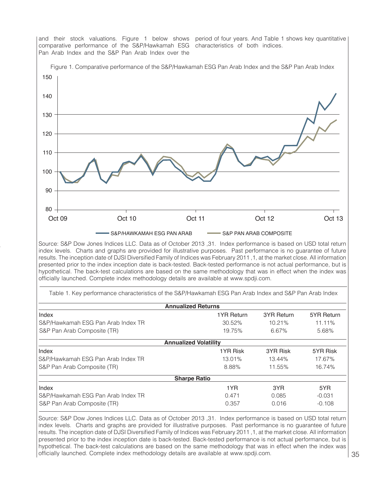![](_page_36_Figure_0.jpeg)

Source: S&P Dow Jones Indices LLC. Data as of October 2013 ,31. Index performance is based on USD total return index levels. Charts and graphs are provided for illustrative purposes. Past performance is no guarantee of future results. The inception date of DJSI Diversified Family of Indices was February 2011 ,1, at the market close. All information presented prior to the index inception date is back-tested. Back-tested performance is not actual performance, but is hypothetical. The back-test calculations are based on the same methodology that was in effect when the index was officially launched. Complete index methodology details are available at www.spdji.com.

Table 1. Key performance characteristics of the S&P/Hawkamah ESG Pan Arab Index and S&P Pan Arab Index

| <b>Annualized Returns</b>          |            |            |            |  |  |
|------------------------------------|------------|------------|------------|--|--|
| Index                              | 1YR Return | 3YR Return | 5YR Return |  |  |
| S&P/Hawkamah ESG Pan Arab Index TR | 30.52%     | 10.21%     | 11.11%     |  |  |
| S&P Pan Arab Composite (TR)        | 19.75%     | 6.67%      | 5.68%      |  |  |
| <b>Annualized Volatility</b>       |            |            |            |  |  |
| Index                              | 1YR Risk   | 3YR Risk   | 5YR Risk   |  |  |
| S&P/Hawkamah ESG Pan Arab Index TR | 13.01%     | 13.44%     | 17.67%     |  |  |
| S&P Pan Arab Composite (TR)        | 8.88%      | 11.55%     | 16.74%     |  |  |
| <b>Sharpe Ratio</b>                |            |            |            |  |  |
| Index                              | 1YR        | 3YR        | 5YR        |  |  |
| S&P/Hawkamah ESG Pan Arab Index TR | 0.471      | 0.085      | $-0.031$   |  |  |
| S&P Pan Arab Composite (TR)        | 0.357      | 0.016      | $-0.108$   |  |  |

Source: S&P Dow Jones Indices LLC. Data as of October 2013 ,31. Index performance is based on USD total return index levels. Charts and graphs are provided for illustrative purposes. Past performance is no guarantee of future results. The inception date of DJSI Diversified Family of Indices was February 2011 ,1, at the market close. All information presented prior to the index inception date is back-tested. Back-tested performance is not actual performance, but is hypothetical. The back-test calculations are based on the same methodology that was in effect when the index was officially launched. Complete index methodology details are available at www.spdji.com.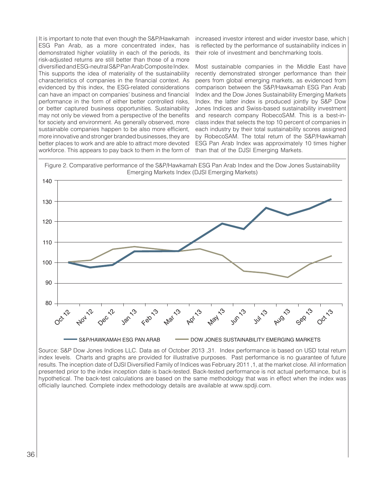It is important to note that even though the S&P/Hawkamah ESG Pan Arab, as a more concentrated index, has demonstrated higher volatility in each of the periods, its risk-adjusted returns are still better than those of a more diversified and ESG-neutral S&P Pan Arab Composite Index. This supports the idea of materiality of the sustainability characteristics of companies in the financial context. As evidenced by this index, the ESG-related considerations can have an impact on companies' business and financial performance in the form of either better controlled risks, or better captured business opportunities. Sustainability may not only be viewed from a perspective of the benefits for society and environment. As generally observed, more sustainable companies happen to be also more efficient, more innovative and stronger branded businesses, they are better places to work and are able to attract more devoted workforce. This appears to pay back to them in the form of

increased investor interest and wider investor base, which is reflected by the performance of sustainability indices in their role of investment and benchmarking tools.

Most sustainable companies in the Middle East have recently demonstrated stronger performance than their peers from global emerging markets, as evidenced from comparison between the S&P/Hawkamah ESG Pan Arab Index and the Dow Jones Sustainability Emerging Markets Index. the latter index is produced jointly by S&P Dow Jones Indices and Swiss-based sustainability investment and research company RobecoSAM. This is a best-inclass index that selects the top 10 percent of companies in each industry by their total sustainability scores assigned by RobecoSAM. The total return of the S&P/Hawkamah ESG Pan Arab Index was approximately 10 times higher than that of the DJSI Emerging Markets.

![](_page_37_Figure_3.jpeg)

Source: S&P Dow Jones Indices LLC. Data as of October 2013 ,31. Index performance is based on USD total return index levels. Charts and graphs are provided for illustrative purposes. Past performance is no guarantee of future results. The inception date of DJSI Diversified Family of Indices was February 2011 ,1, at the market close. All information presented prior to the index inception date is back-tested. Back-tested performance is not actual performance, but is hypothetical. The back-test calculations are based on the same methodology that was in effect when the index was officially launched. Complete index methodology details are available at www.spdji.com.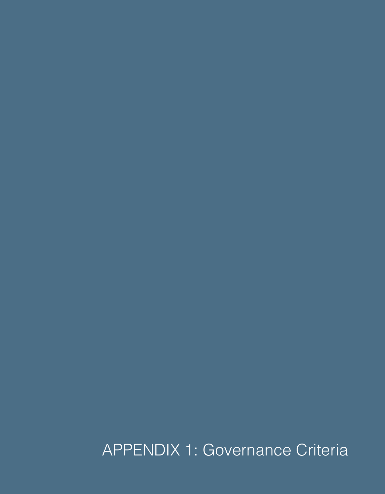APPENDIX 1: Governance Criteria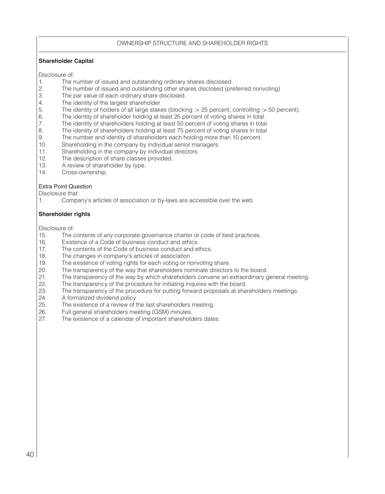# OWNERSHIP STRUCTURE AND SHAREHOLDER RIGHTS

# **Shareholder Capital**

Disclosure of:

- 1. The number of issued and outstanding ordinary shares disclosed.<br>2. The number of issued and outstanding other shares disclosed (pre
- 2. The number of issued and outstanding other shares disclosed (preferred nonvoting)<br>3. The par value of each ordinary share disclosed.
- 3. The par value of each ordinary share disclosed.<br>4. The identity of the largest shareholder
- 4. The identity of the largest shareholder<br>5. The identity of holders of all large stak
- 5. The identity of holders of all large stakes (blocking :> 25 percent, controlling :> 50 percent).<br>6. The identity of shareholder holding at least 25 percent of voting shares in total.
- 6. The identity of shareholder holding at least 25 percent of voting shares in total.
- 7. The identity of shareholders holding at least 50 percent of voting shares in total
- 8. The identity of shareholders holding at least 75 percent of voting shares in total<br>9. The number and identity of shareholders each holding more than 10 percent.
- 9. The number and identity of shareholders each holding more than 10 percent.<br>10. Shareholding in the company by individual senior managers.
- Shareholding in the company by individual senior managers.
- 11. Shareholding in the company by individual directors.
- 12. The description of share classes provided.<br>13. A review of shareholder by type.
- A review of shareholder by type.
- 14. Cross-ownership.

# Extra Point Question

Disclosure that:<br>1. Compa

Company's articles of association or by-laws are accessible over the web

# **Shareholder rights**

Disclosure of:

- 15. The contents of any corporate governance charter or code of best practices.
- 16. Existence of a Code of business conduct and ethics.<br>17. The contents of the Code of business conduct and et
- 17. The contents of the Code of business conduct and ethics.<br>18. The changes in company's articles of association
- 18. The changes in company's articles of association<br>19. The existence of voting rights for each voting or no
- The existence of voting rights for each voting or nonvoting share.
- 20. The transparency of the way that shareholders nominate directors to the board.<br>21. The transparency of the way by which shareholders convene an extraordinary of
- The transparency of the way by which shareholders convene an extraordinary general meeting.
- 22. The transparency of the procedure for initiating inquires with the board.<br>23. The transparency of the procedure for putting forward proposals at share
- The transparency of the procedure for putting forward proposals at shareholders meetings.
- 24. A formalized dividend policy<br>25. The existence of a review of t
- 25. The existence of a review of the last shareholders meeting.<br>26. Full general shareholders meeting (GSM) minutes.
- 26. Full general shareholders meeting (GSM) minutes.<br>27. The existence of a calendar of important sharehold
- The existence of a calendar of important shareholders dates.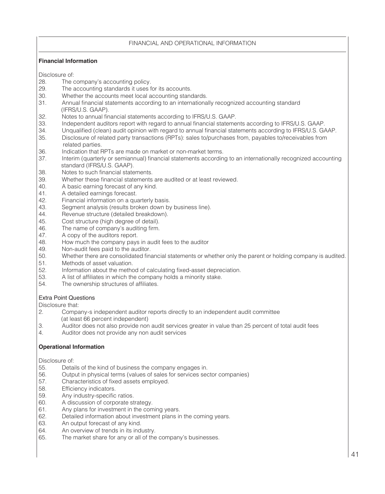# FINANCIAL AND OPERATIONAL INFORMATION

# **Financial Information**

Disclosure of:<br>28. The o

- 28. The company's accounting policy.<br>29. The accounting standards it uses f
- 29. The accounting standards it uses for its accounts.<br>30. Whether the accounts meet local accounting stand
- 30. Whether the accounts meet local accounting standards.<br>31. Annual financial statements according to an international
- 31. Annual financial statements according to an internationally recognized accounting standard (IFRS/U.S. GAAP).<br>32. Notes to annual firm
- 32. Notes to annual financial statements according to IFRS/U.S. GAAP.
- 33. Independent auditors report with regard to annual financial statements according to IFRS/U.S. GAAP.<br>34. Inqualified (clean) audit opinion with regard to annual financial statements according to IFRS/U.S. G4
- 34. Unqualified (clean) audit opinion with regard to annual financial statements according to IFRS/U.S. GAAP.<br>35. Disclosure of related party transactions (RPTs): sales to/purchases from. pavables to/receivables from
- Disclosure of related party transactions (RPTs): sales to/purchases from, payables to/receivables from related parties.<br>36. Indication that F
- Indication that RPTs are made on market or non-market terms.
- 37. Interim (quarterly or semiannual) financial statements according to an internationally recognized accounting standard (IFRS/U.S. GAAP).
- 38. Notes to such financial statements.
- 39. Whether these financial statements are audited or at least reviewed.<br>40. A basic earning forecast of any kind.
- 40. A basic earning forecast of any kind.<br>41. A detailed earnings forecast.
- 41. A detailed earnings forecast.<br>42. Financial information on a qua
- 42. Financial information on a quarterly basis.<br>43. Segment analysis (results broken down by
- Segment analysis (results broken down by business line).
- 44. Revenue structure (detailed breakdown).<br>45. Cost structure (high degree of detail).
- Cost structure (high degree of detail).
- 46. The name of company's auditing firm.<br>47. A copy of the auditors report.
- A copy of the auditors report.
- 48. How much the company pays in audit fees to the auditor 49. Non-audit fees paid to the auditor.
- 49. Non-audit fees paid to the auditor.<br>50. Whether there are consolidated final
- 50. Whether there are consolidated financial statements or whether only the parent or holding company is audited.<br>51. Methods of asset valuation.
- 51. Methods of asset valuation.<br>52. Information about the metho
- 52. Information about the method of calculating fixed-asset depreciation.<br>53. A list of affiliates in which the company holds a minority stake.
- A list of affiliates in which the company holds a minority stake.
- 54. The ownership structures of affiliates.

# Extra Point Questions

Disclosure that:<br>2. Compa

- 2. Company›s independent auditor reports directly to an independent audit committee
- (at least 66 percent independent)<br>3. Auditor does not also provide non Auditor does not also provide non audit services greater in value than 25 percent of total audit fees
- 4. Auditor does not provide any non audit services

# **Operational Information**

Disclosure of:

- 55. Details of the kind of business the company engages in.<br>56. Output in physical terms (values of sales for services sec
- 56. Output in physical terms (values of sales for services sector companies)<br>57. Characteristics of fixed assets emploved.
- 57. Characteristics of fixed assets employed.
- 58. Efficiency indicators.<br>59. Any industry-specific
- Any industry-specific ratios.
- 60. A discussion of corporate strategy.
- 61. Any plans for investment in the coming years.
- 62. Detailed information about investment plans in the coming years.
- 63. An output forecast of any kind.
- 64. An overview of trends in its industry.<br>65. The market share for any or all of the
- The market share for any or all of the company's businesses.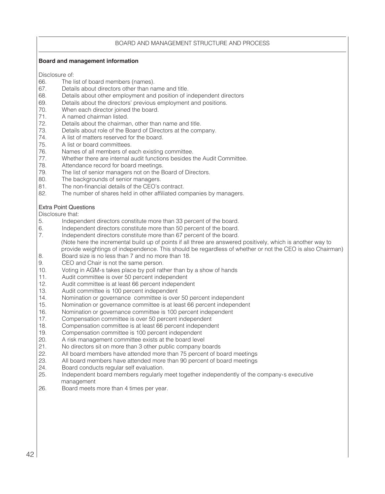# BOARD AND MANAGEMENT STRUCTURE AND PROCESS

## **Board and management information**

Disclosure of:<br>66 The I

- 66. The list of board members (names).<br>67. Details about directors other than na
- 67. Details about directors other than name and title.<br>68. Details about other employment and position of in
- 68. Details about other employment and position of independent directors 69. Details about the directors' previous employment and positions.
- 69. Details about the directors' previous employment and positions.<br>70. When each director joined the board.
- 70. When each director joined the board.<br>71. A named chairman listed.
- A named chairman listed.
- 72. Details about the chairman, other than name and title.<br>73. Details about role of the Board of Directors at the come
- 73. Details about role of the Board of Directors at the company.<br>74 A list of matters reserved for the board
- 74. A list of matters reserved for the board.<br>75. A list or board committees.
- 75. A list or board committees.<br>76. Names of all members of ea
- 76. Names of all members of each existing committee.<br>77. Whether there are internal audit functions besides to
- 77. Whether there are internal audit functions besides the Audit Committee.<br>78. Attendance record for board meetings
- 78. Attendance record for board meetings.<br>79. The list of senior managers not on the E
- The list of senior managers not on the Board of Directors.
- 80. The backgrounds of senior managers.<br>81 The non-financial details of the CFO's
- 81. The non-financial details of the CEO's contract.<br>82. The number of shares held in other affiliated com-
- The number of shares held in other affiliated companies by managers.

## Extra Point Questions

Disclosure that:<br>5. Independent

- 5. Independent directors constitute more than 33 percent of the board.<br>6. Independent directors constitute more than 50 percent of the board.
- 6. Independent directors constitute more than 50 percent of the board.<br>7. Independent directors constitute more than 67 percent of the board.
- 7. Independent directors constitute more than 67 percent of the board. (Note here the incremental build up of points if all three are answered positively, which is another way to
- provide weightings of independence. This should be regardless of whether or not the CEO is also Chairman)<br>Board size is no less than 7 and no more than 18. 8. Board size is no less than 7 and no more than 18.<br>9. CEO and Chair is not the same person.
- CEO and Chair is not the same person.
- 10. Voting in AGM›s takes place by poll rather than by a show of hands
- 11. Audit committee is over 50 percent independent
- 12. Audit committee is at least 66 percent independent<br>13. Audit committee is 100 percent independent
- Audit committee is 100 percent independent
- 14. Nomination or governance committee is over 50 percent independent
- 15. Nomination or governance committee is at least 66 percent independent<br>16. Nomination or governance committee is 100 percent independent
- 16. Nomination or governance committee is 100 percent independent<br>17. Compensation committee is over 50 percent independent
- 17. Compensation committee is over 50 percent independent<br>18. Compensation committee is at least 66 percent independent
- Compensation committee is at least 66 percent independent
- 19. Compensation committee is 100 percent independent<br>20. A risk management committee exists at the board leve
- 
- 20. A risk management committee exists at the board level<br>21. No directors sit on more than 3 other public company b 21. No directors sit on more than 3 other public company boards<br>22. All board members have attended more than 75 percent of bo
- 22. All board members have attended more than 75 percent of board meetings<br>23. All board members have attended more than 90 percent of board meetings
- 23. All board members have attended more than 90 percent of board meetings 24. Board conducts requier self evaluation.
- 24. Board conducts regular self evaluation.<br>25 Independent board members regularly
- Independent board members regularly meet together independently of the company<sup>></sup>s executive management<br>26. Board meets
- Board meets more than 4 times per year.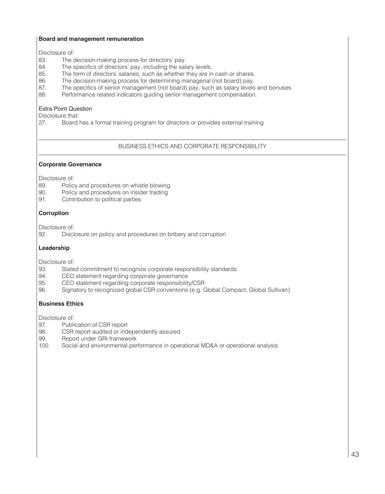# **Board and management remuneration**

Disclosure of:<br>83. The o

- 83. The decision-making process for directors' pay.<br>84. The specifics of directors' pay, including the salar
- 84. The specifics of directors' pay, including the salary levels.<br>85. The form of directors' salaries, such as whether they are in
- 85. The form of directors' salaries, such as whether they are in cash or shares.<br>86. The decision-making process for determining managerial (not board) pay.
- The decision-making process for determining managerial (not board) pay.
- 87. The specifics of senior management (not board) pay, such as salary levels and bonuses.<br>88. Performance related indicators quiding senior management compensation
- Performance related indicators guiding senior management compensation.

# Extra Point Question

Disclosure that:<br>27. Board

Board has a formal training program for directors or provides external training

# BUSINESS ETHICS AND CORPORATE RESPONSIBILITY

# **Corporate Governance**

Disclosure of:<br>89. Polic

- Policy and procedures on whistle blowing
- 90. Policy and procedures on insider trading<br>91. Contribution to political parties
- Contribution to political parties

# **Corruption**

Disclosure of:

92. Disclosure on policy and procedures on bribery and corruption

# **Leadership**

Disclosure of:

- 93. Stated commitment to recognize corporate responsibility standards<br>94. CEO statement regarding corporate governance
- 94. CEO statement regarding corporate governance<br>95. CEO statement regarding corporate responsibility
- 95. CEO statement regarding corporate responsibility/CSR<br>96. Signatory to recognized global CSR conventions (e.g. G
- 96. Signatory to recognized global CSR conventions (e.g. Global Compact, Global Sullivan)

# **Business Ethics**

Disclosure of:<br>97. Publi

- 97. Publication of CSR report<br>98. CSR report audited or ind
- 98. CSR report audited or independently assured<br>99. Report under GRI framework
- 99. Report under GRI framework<br>100. Social and environmental per
- Social and environmental performance in operational MD&A or operational analysis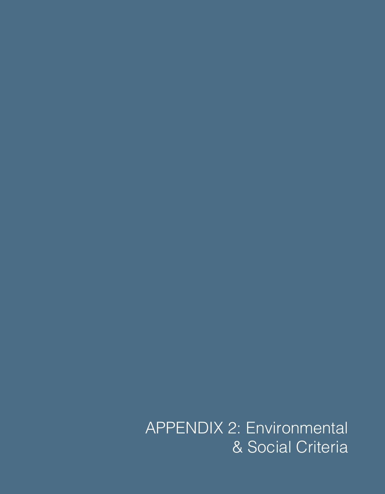APPENDIX 2: Environmental & Social Criteria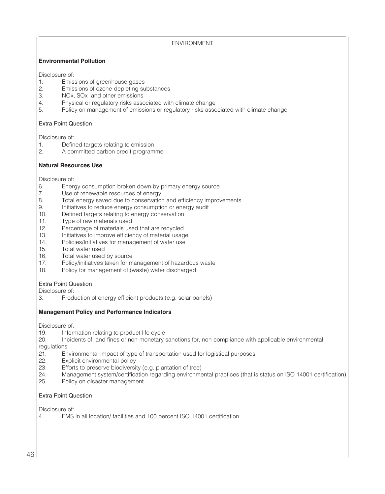ENVIRONMENT

# **Environmental Pollution**

Disclosure of:<br>1. Emis

- 1. Emissions of greenhouse gases<br>2. Emissions of ozone-depleting su
- 2. Emissions of ozone-depleting substances<br>3. NOx. SOx and other emissions
- 3. NOx, SOx and other emissions<br>4. Physical or regulatory risks assoc
- 4. Physical or regulatory risks associated with climate change<br>5. Policy on management of emissions or regulatory risks associated
- 5. Policy on management of emissions or regulatory risks associated with climate change

## Extra Point Question

Disclosure of:

- 1. Defined targets relating to emission<br>2. A committed carbon credit program
- 2. A committed carbon credit programme

# **Natural Resources Use**

Disclosure of:<br>6. Energ

- 6. Energy consumption broken down by primary energy source<br>7. Use of renewable resources of energy
- 7. Use of renewable resources of energy<br>8. Total energy saved due to conservation
- 8. Total energy saved due to conservation and efficiency improvements<br>9. Initiatives to reduce energy consumption or energy audit
- Initiatives to reduce energy consumption or energy audit
- 10. Defined targets relating to energy conservation<br>11. Type of raw materials used
- 11. Type of raw materials used<br>12. Percentage of materials use
- 12. Percentage of materials used that are recycled<br>13. Initiatives to improve efficiency of material usage
- Initiatives to improve efficiency of material usage
- 14. Policies/Initiatives for management of water use<br>15. Total water used
- 15. Total water used<br>16. Total water used
- 16. Total water used by source<br>17. Policy/initiatives taken for m
- Policy/initiatives taken for management of hazardous waste
- 18. Policy for management of (waste) water discharged

# Extra Point Question

Disclosure of:

3. Production of energy efficient products (e.g. solar panels)

# **Management Policy and Performance Indicators**

Disclosure of:

- 19. Information relating to product life cycle
- 20. Incidents of, and fines or non-monetary sanctions for, non-compliance with applicable environmental
- regulations<br>21. Er 21. Environmental impact of type of transportation used for logistical purposes 22. Explicit environmental policy
- 22. Explicit environmental policy<br>23. Efforts to preserve biodiversit
- Efforts to preserve biodiversity (e.g. plantation of tree)
- 24. Management system/certification regarding environmental practices (that is status on ISO 14001 certification)<br>25. Policy on disaster management
- Policy on disaster management

# Extra Point Question

Disclosure of:

4. EMS in all location/ facilities and 100 percent ISO 14001 certification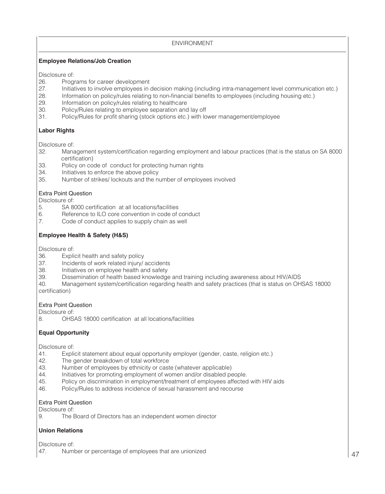# ENVIRONMENT

# **Employee Relations/Job Creation**

Disclosure of:<br>26. Prog

- 26. Programs for career development<br>27. Initiatives to involve employees in
- 27. Initiatives to involve employees in decision making (including intra-management level communication etc.)<br>28. Information on policy/rules relating to non-financial benefits to employees (including housing etc.)
- 28. Information on policy/rules relating to non-financial benefits to employees (including housing etc.)<br>29. Information on policy/rules relating to healthcare
- Information on policy/rules relating to healthcare
- 30. Policy/Rules relating to employee separation and lay off<br>31. Policy/Rules for profit sharing (stock options etc.) with lo
- 31. Policy/Rules for profit sharing (stock options etc.) with lower management/employee

# **Labor Rights**

Disclosure of:

- 32. Management system/certification regarding employment and labour practices (that is the status on SA 8000 certification)<br>33. Policy on co
- Policy on code of conduct for protecting human rights
- 34. Initiatives to enforce the above policy
- 35. Number of strikes/ lockouts and the number of employees involved

# Extra Point Question

Disclosure of:<br>5. SA 8

- SA 8000 certification at all locations/facilities
- 6. Reference to ILO core convention in code of conduct 7. Code of conduct applies to supply chain as well
- Code of conduct applies to supply chain as well

# **Employee Health & Safety (H&S)**

Disclosure of:

- 36. Explicit health and safety policy<br>37. Incidents of work related injury
- 37. Incidents of work related injury/ accidents<br>38. Initiatives on employee health and safety
- 38. Initiatives on employee health and safety<br>39. Dissemination of health based knowledge
- 39. Dissemination of health based knowledge and training including awareness about HIV/AIDS
- 40. Management system/certification regarding health and safety practices (that is status on OHSAS 18000 certification)

# Extra Point Question

Disclosure of:

8. OHSAS 18000 certification at all locations/facilities

# **Equal Opportunity**

Disclosure of:

- 41. Explicit statement about equal opportunity employer (gender, caste, religion etc.)<br>42. The gender breakdown of total workforce
- 42. The gender breakdown of total workforce<br>43. Number of employees by ethnicity or cast
- 43. Number of employees by ethnicity or caste (whatever applicable)<br>44 Initiatives for promoting employment of women and/or disabled pe
- 44. Initiatives for promoting employment of women and/or disabled people.<br>45. Policy on discrimination in employment/treatment of employees affected
- Policy on discrimination in employment/treatment of employees affected with HIV aids
- 46. Policy/Rules to address incidence of sexual harassment and recourse

# Extra Point Question

Disclosure of:

9. The Board of Directors has an independent women director

# **Union Relations**

Disclosure of:

47. Number or percentage of employees that are unionized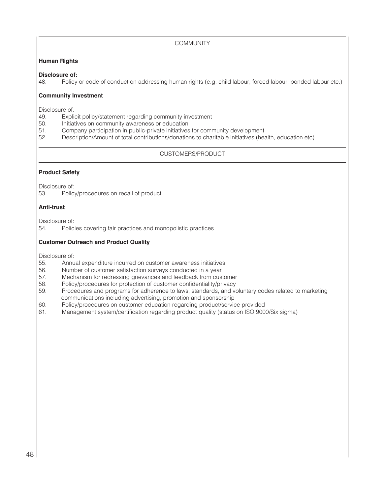**COMMUNITY** 

# **Human Rights**

# **Disclosure of:**<br>48. **Policy**

Policy or code of conduct on addressing human rights (e.g. child labour, forced labour, bonded labour etc.)

# **Community Investment**

Disclosure of:<br>49. Expli

- 49. Explicit policy/statement regarding community investment<br>50. Initiatives on community awareness or education
- 50. Initiatives on community awareness or education<br>51 Company participation in public-private initiatives
- 51. Company participation in public-private initiatives for community development<br>52. Description/Amount of total contributions/donations to charitable initiatives (here
- 52. Description/Amount of total contributions/donations to charitable initiatives (health, education etc)

# CUSTOMERS/PRODUCT

# **Product Safety**

Disclosure of:<br>53. Polic Policy/procedures on recall of product

# **Anti-trust**

Disclosure of:

54. Policies covering fair practices and monopolistic practices

# **Customer Outreach and Product Quality**

Disclosure of:<br>55. Annu

- 55. Annual expenditure incurred on customer awareness initiatives
- 56. Number of customer satisfaction surveys conducted in a year<br>57. Mechanism for redressing grievances and feedback from cus
- Mechanism for redressing grievances and feedback from customer
- 58. Policy/procedures for protection of customer confidentiality/privacy<br>59. Procedures and programs for adherence to laws, standards, and volume
- Procedures and programs for adherence to laws, standards, and voluntary codes related to marketing communications including advertising, promotion and sponsorship
- 60. Policy/procedures on customer education regarding product/service provided
- Management system/certification regarding product quality (status on ISO 9000/Six sigma)